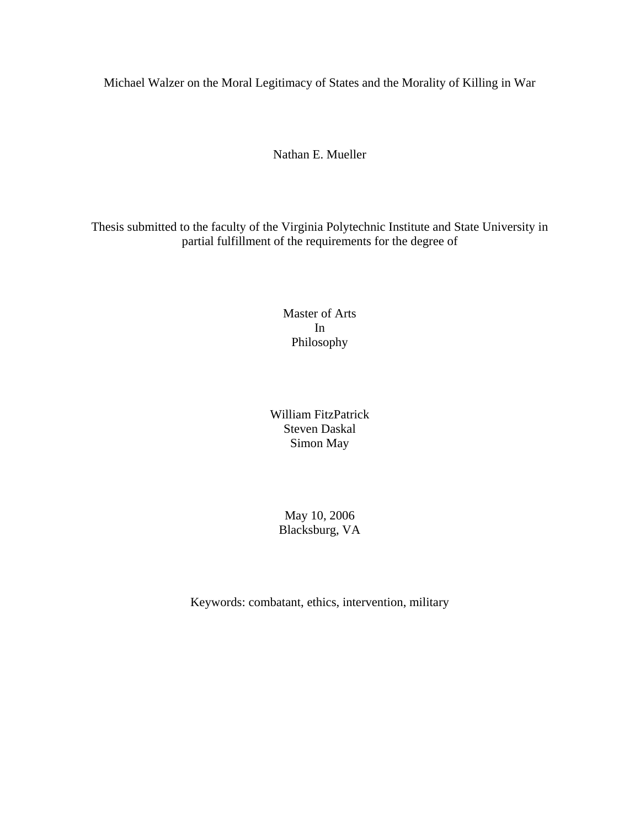Michael Walzer on the Moral Legitimacy of States and the Morality of Killing in War

Nathan E. Mueller

Thesis submitted to the faculty of the Virginia Polytechnic Institute and State University in partial fulfillment of the requirements for the degree of

> Master of Arts In Philosophy

William FitzPatrick Steven Daskal Simon May

May 10, 2006 Blacksburg, VA

Keywords: combatant, ethics, intervention, military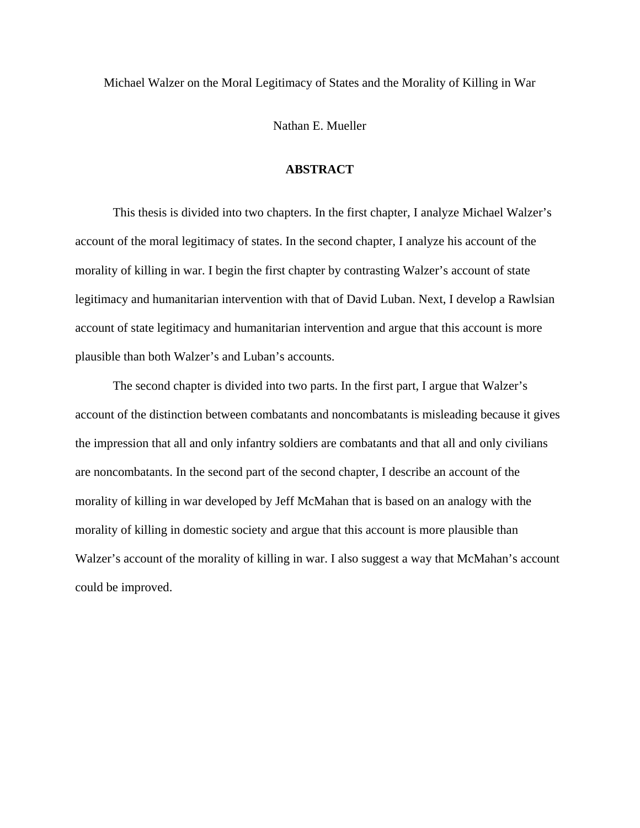Michael Walzer on the Moral Legitimacy of States and the Morality of Killing in War

Nathan E. Mueller

### **ABSTRACT**

 This thesis is divided into two chapters. In the first chapter, I analyze Michael Walzer's account of the moral legitimacy of states. In the second chapter, I analyze his account of the morality of killing in war. I begin the first chapter by contrasting Walzer's account of state legitimacy and humanitarian intervention with that of David Luban. Next, I develop a Rawlsian account of state legitimacy and humanitarian intervention and argue that this account is more plausible than both Walzer's and Luban's accounts.

 The second chapter is divided into two parts. In the first part, I argue that Walzer's account of the distinction between combatants and noncombatants is misleading because it gives the impression that all and only infantry soldiers are combatants and that all and only civilians are noncombatants. In the second part of the second chapter, I describe an account of the morality of killing in war developed by Jeff McMahan that is based on an analogy with the morality of killing in domestic society and argue that this account is more plausible than Walzer's account of the morality of killing in war. I also suggest a way that McMahan's account could be improved.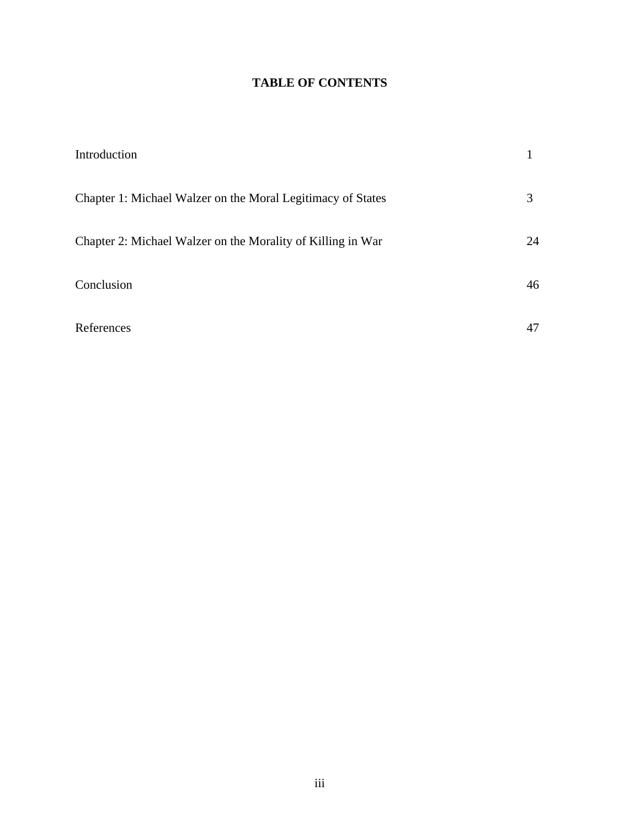## **TABLE OF CONTENTS**

| Introduction                                                |    |
|-------------------------------------------------------------|----|
| Chapter 1: Michael Walzer on the Moral Legitimacy of States | 3  |
| Chapter 2: Michael Walzer on the Morality of Killing in War | 24 |
| Conclusion                                                  | 46 |
| References                                                  | 47 |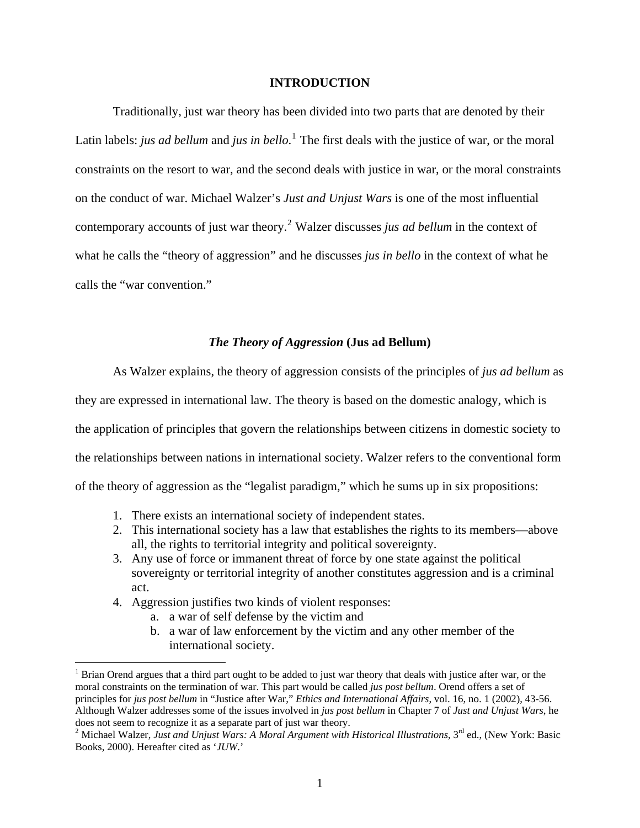### **INTRODUCTION**

 Traditionally, just war theory has been divided into two parts that are denoted by their Latin labels: *jus ad bellum* and *jus in bello*.<sup>[1](#page-3-0)</sup> The first deals with the justice of war, or the moral constraints on the resort to war, and the second deals with justice in war, or the moral constraints on the conduct of war. Michael Walzer's *Just and Unjust Wars* is one of the most influential contemporary accounts of just war theory.[2](#page-3-1) Walzer discusses *jus ad bellum* in the context of what he calls the "theory of aggression" and he discusses *jus in bello* in the context of what he calls the "war convention."

### *The Theory of Aggression* **(Jus ad Bellum)**

 As Walzer explains, the theory of aggression consists of the principles of *jus ad bellum* as they are expressed in international law. The theory is based on the domestic analogy, which is the application of principles that govern the relationships between citizens in domestic society to the relationships between nations in international society. Walzer refers to the conventional form of the theory of aggression as the "legalist paradigm," which he sums up in six propositions:

- 1. There exists an international society of independent states.
- 2. This international society has a law that establishes the rights to its members—above all, the rights to territorial integrity and political sovereignty.
- 3. Any use of force or immanent threat of force by one state against the political sovereignty or territorial integrity of another constitutes aggression and is a criminal act.
- 4. Aggression justifies two kinds of violent responses:

- a. a war of self defense by the victim and
- b. a war of law enforcement by the victim and any other member of the international society.

<span id="page-3-0"></span><sup>&</sup>lt;sup>1</sup> Brian Orend argues that a third part ought to be added to just war theory that deals with justice after war, or the moral constraints on the termination of war. This part would be called *jus post bellum*. Orend offers a set of principles for *jus post bellum* in "Justice after War," *Ethics and International Affairs*, vol. 16, no. 1 (2002), 43-56. Although Walzer addresses some of the issues involved in *jus post bellum* in Chapter 7 of *Just and Unjust Wars*, he does not seem to recognize it as a separate part of just war theory.

<span id="page-3-1"></span><sup>&</sup>lt;sup>2</sup> Michael Walzer, *Just and Unjust Wars: A Moral Argument with Historical Illustrations*, 3<sup>rd</sup> ed., (New York: Basic Books, 2000). Hereafter cited as '*JUW*.'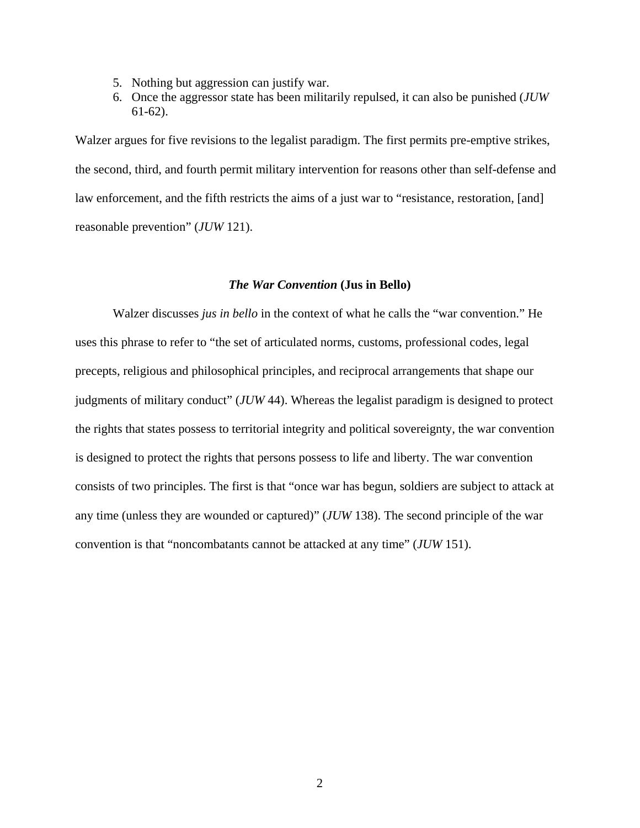- 5. Nothing but aggression can justify war.
- 6. Once the aggressor state has been militarily repulsed, it can also be punished (*JUW* 61-62).

Walzer argues for five revisions to the legalist paradigm. The first permits pre-emptive strikes, the second, third, and fourth permit military intervention for reasons other than self-defense and law enforcement, and the fifth restricts the aims of a just war to "resistance, restoration, [and] reasonable prevention" (*JUW* 121).

### *The War Convention* **(Jus in Bello)**

 Walzer discusses *jus in bello* in the context of what he calls the "war convention." He uses this phrase to refer to "the set of articulated norms, customs, professional codes, legal precepts, religious and philosophical principles, and reciprocal arrangements that shape our judgments of military conduct" (*JUW* 44). Whereas the legalist paradigm is designed to protect the rights that states possess to territorial integrity and political sovereignty, the war convention is designed to protect the rights that persons possess to life and liberty. The war convention consists of two principles. The first is that "once war has begun, soldiers are subject to attack at any time (unless they are wounded or captured)" (*JUW* 138). The second principle of the war convention is that "noncombatants cannot be attacked at any time" (*JUW* 151).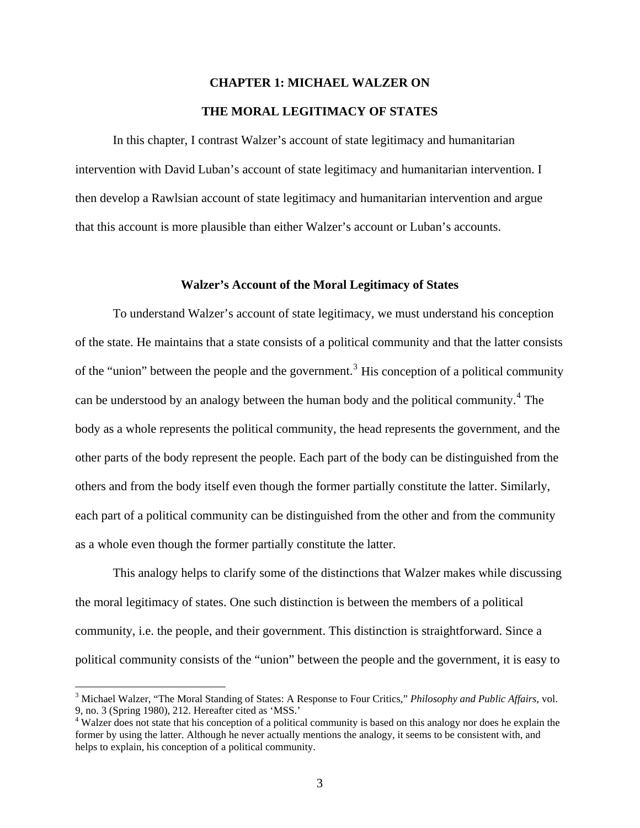## **CHAPTER 1: MICHAEL WALZER ON THE MORAL LEGITIMACY OF STATES**

 In this chapter, I contrast Walzer's account of state legitimacy and humanitarian intervention with David Luban's account of state legitimacy and humanitarian intervention. I then develop a Rawlsian account of state legitimacy and humanitarian intervention and argue that this account is more plausible than either Walzer's account or Luban's accounts.

### **Walzer's Account of the Moral Legitimacy of States**

 To understand Walzer's account of state legitimacy, we must understand his conception of the state. He maintains that a state consists of a political community and that the latter consists of the "union" between the people and the government.<sup>[3](#page-5-0)</sup> His conception of a political community can be understood by an analogy between the human body and the political community.<sup>[4](#page-5-1)</sup> The body as a whole represents the political community, the head represents the government, and the other parts of the body represent the people. Each part of the body can be distinguished from the others and from the body itself even though the former partially constitute the latter. Similarly, each part of a political community can be distinguished from the other and from the community as a whole even though the former partially constitute the latter.

 This analogy helps to clarify some of the distinctions that Walzer makes while discussing the moral legitimacy of states. One such distinction is between the members of a political community, i.e. the people, and their government. This distinction is straightforward. Since a political community consists of the "union" between the people and the government, it is easy to

<span id="page-5-0"></span><sup>3</sup> Michael Walzer, "The Moral Standing of States: A Response to Four Critics," *Philosophy and Public Affairs*, vol. 9, no. 3 (Spring 1980), 212. Hereafter cited as 'MSS.'

<span id="page-5-1"></span><sup>&</sup>lt;sup>4</sup> Walzer does not state that his conception of a political community is based on this analogy nor does he explain the former by using the latter. Although he never actually mentions the analogy, it seems to be consistent with, and helps to explain, his conception of a political community.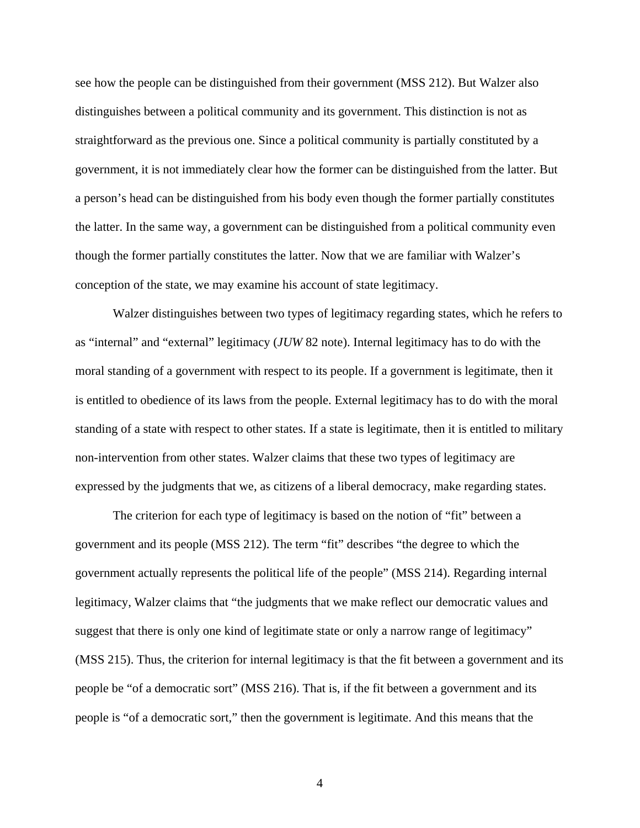see how the people can be distinguished from their government (MSS 212). But Walzer also distinguishes between a political community and its government. This distinction is not as straightforward as the previous one. Since a political community is partially constituted by a government, it is not immediately clear how the former can be distinguished from the latter. But a person's head can be distinguished from his body even though the former partially constitutes the latter. In the same way, a government can be distinguished from a political community even though the former partially constitutes the latter. Now that we are familiar with Walzer's conception of the state, we may examine his account of state legitimacy.

 Walzer distinguishes between two types of legitimacy regarding states, which he refers to as "internal" and "external" legitimacy (*JUW* 82 note). Internal legitimacy has to do with the moral standing of a government with respect to its people. If a government is legitimate, then it is entitled to obedience of its laws from the people. External legitimacy has to do with the moral standing of a state with respect to other states. If a state is legitimate, then it is entitled to military non-intervention from other states. Walzer claims that these two types of legitimacy are expressed by the judgments that we, as citizens of a liberal democracy, make regarding states.

 The criterion for each type of legitimacy is based on the notion of "fit" between a government and its people (MSS 212). The term "fit" describes "the degree to which the government actually represents the political life of the people" (MSS 214). Regarding internal legitimacy, Walzer claims that "the judgments that we make reflect our democratic values and suggest that there is only one kind of legitimate state or only a narrow range of legitimacy" (MSS 215). Thus, the criterion for internal legitimacy is that the fit between a government and its people be "of a democratic sort" (MSS 216). That is, if the fit between a government and its people is "of a democratic sort," then the government is legitimate. And this means that the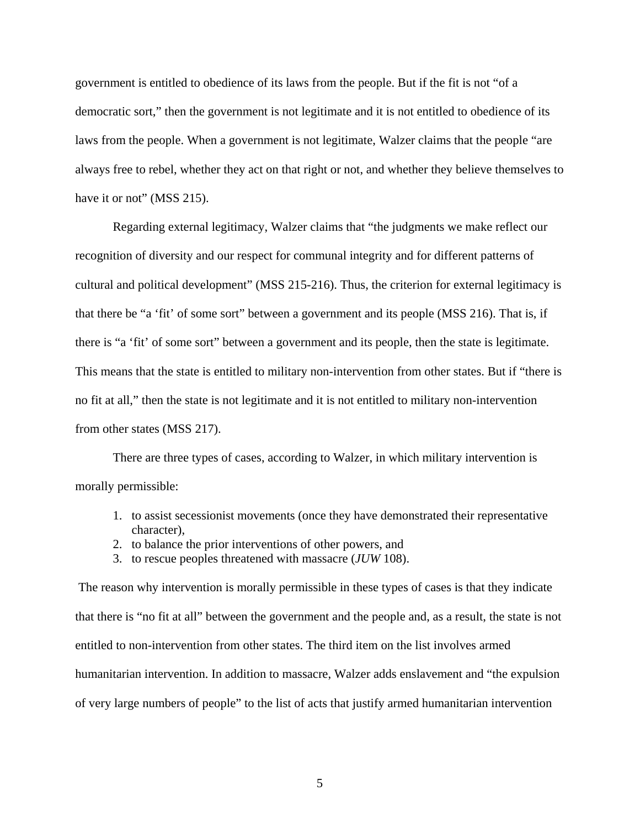government is entitled to obedience of its laws from the people. But if the fit is not "of a democratic sort," then the government is not legitimate and it is not entitled to obedience of its laws from the people. When a government is not legitimate, Walzer claims that the people "are always free to rebel, whether they act on that right or not, and whether they believe themselves to have it or not" (MSS 215).

 Regarding external legitimacy, Walzer claims that "the judgments we make reflect our recognition of diversity and our respect for communal integrity and for different patterns of cultural and political development" (MSS 215-216). Thus, the criterion for external legitimacy is that there be "a 'fit' of some sort" between a government and its people (MSS 216). That is, if there is "a 'fit' of some sort" between a government and its people, then the state is legitimate. This means that the state is entitled to military non-intervention from other states. But if "there is no fit at all," then the state is not legitimate and it is not entitled to military non-intervention from other states (MSS 217).

 There are three types of cases, according to Walzer, in which military intervention is morally permissible:

- 1. to assist secessionist movements (once they have demonstrated their representative character),
- 2. to balance the prior interventions of other powers, and
- 3. to rescue peoples threatened with massacre (*JUW* 108).

 The reason why intervention is morally permissible in these types of cases is that they indicate that there is "no fit at all" between the government and the people and, as a result, the state is not entitled to non-intervention from other states. The third item on the list involves armed humanitarian intervention. In addition to massacre, Walzer adds enslavement and "the expulsion of very large numbers of people" to the list of acts that justify armed humanitarian intervention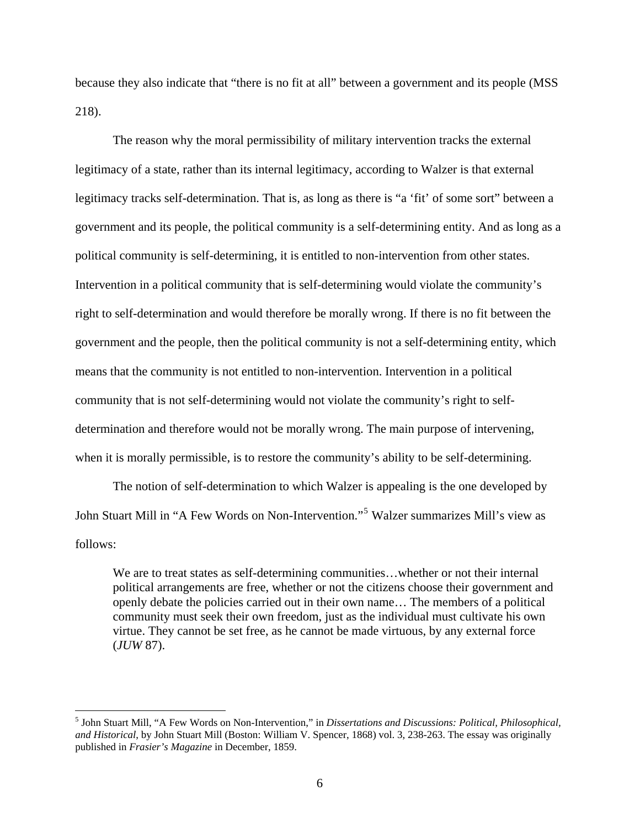because they also indicate that "there is no fit at all" between a government and its people (MSS 218).

 The reason why the moral permissibility of military intervention tracks the external legitimacy of a state, rather than its internal legitimacy, according to Walzer is that external legitimacy tracks self-determination. That is, as long as there is "a 'fit' of some sort" between a government and its people, the political community is a self-determining entity. And as long as a political community is self-determining, it is entitled to non-intervention from other states. Intervention in a political community that is self-determining would violate the community's right to self-determination and would therefore be morally wrong. If there is no fit between the government and the people, then the political community is not a self-determining entity, which means that the community is not entitled to non-intervention. Intervention in a political community that is not self-determining would not violate the community's right to selfdetermination and therefore would not be morally wrong. The main purpose of intervening, when it is morally permissible, is to restore the community's ability to be self-determining.

 The notion of self-determination to which Walzer is appealing is the one developed by John Stuart Mill in "A Few Words on Non-Intervention."[5](#page-8-0) Walzer summarizes Mill's view as follows:

 We are to treat states as self-determining communities…whether or not their internal political arrangements are free, whether or not the citizens choose their government and openly debate the policies carried out in their own name… The members of a political community must seek their own freedom, just as the individual must cultivate his own virtue. They cannot be set free, as he cannot be made virtuous, by any external force (*JUW* 87).

<span id="page-8-0"></span> 5 John Stuart Mill, "A Few Words on Non-Intervention," in *Dissertations and Discussions: Political, Philosophical, and Historical*, by John Stuart Mill (Boston: William V. Spencer, 1868) vol. 3, 238-263. The essay was originally published in *Frasier's Magazine* in December, 1859.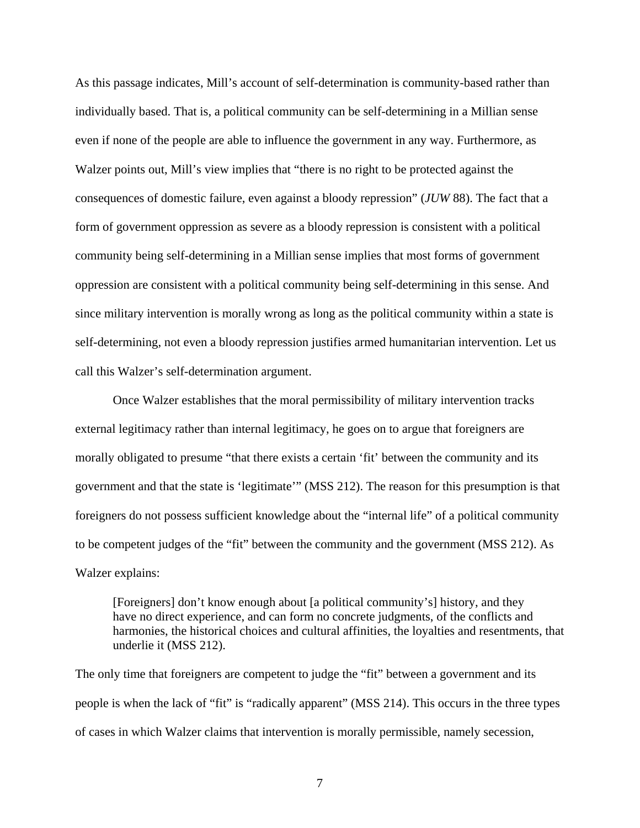As this passage indicates, Mill's account of self-determination is community-based rather than individually based. That is, a political community can be self-determining in a Millian sense even if none of the people are able to influence the government in any way. Furthermore, as Walzer points out, Mill's view implies that "there is no right to be protected against the consequences of domestic failure, even against a bloody repression" (*JUW* 88). The fact that a form of government oppression as severe as a bloody repression is consistent with a political community being self-determining in a Millian sense implies that most forms of government oppression are consistent with a political community being self-determining in this sense. And since military intervention is morally wrong as long as the political community within a state is self-determining, not even a bloody repression justifies armed humanitarian intervention. Let us call this Walzer's self-determination argument.

 Once Walzer establishes that the moral permissibility of military intervention tracks external legitimacy rather than internal legitimacy, he goes on to argue that foreigners are morally obligated to presume "that there exists a certain 'fit' between the community and its government and that the state is 'legitimate'" (MSS 212). The reason for this presumption is that foreigners do not possess sufficient knowledge about the "internal life" of a political community to be competent judges of the "fit" between the community and the government (MSS 212). As Walzer explains:

 [Foreigners] don't know enough about [a political community's] history, and they have no direct experience, and can form no concrete judgments, of the conflicts and harmonies, the historical choices and cultural affinities, the loyalties and resentments, that underlie it (MSS 212).

The only time that foreigners are competent to judge the "fit" between a government and its people is when the lack of "fit" is "radically apparent" (MSS 214). This occurs in the three types of cases in which Walzer claims that intervention is morally permissible, namely secession,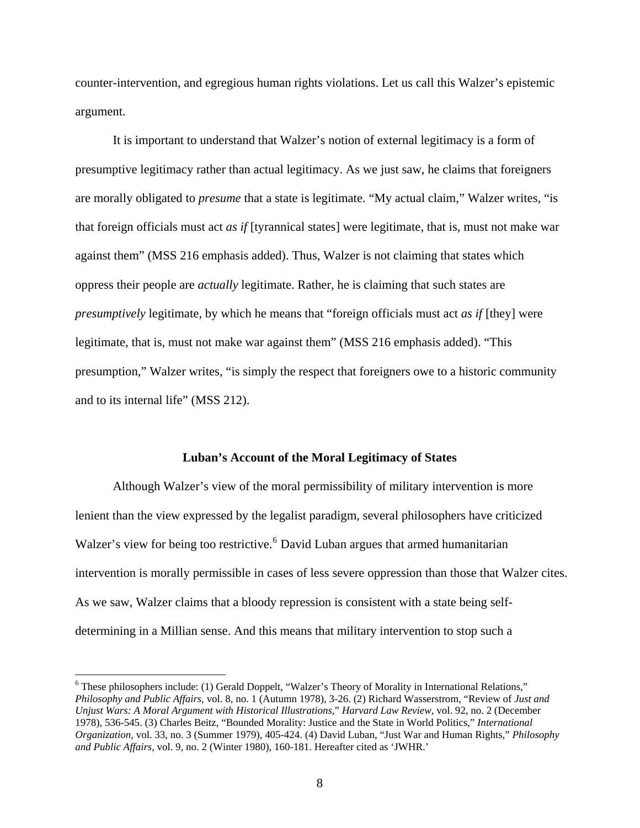counter-intervention, and egregious human rights violations. Let us call this Walzer's epistemic argument.

 It is important to understand that Walzer's notion of external legitimacy is a form of presumptive legitimacy rather than actual legitimacy. As we just saw, he claims that foreigners are morally obligated to *presume* that a state is legitimate. "My actual claim," Walzer writes, "is that foreign officials must act *as if* [tyrannical states] were legitimate, that is, must not make war against them" (MSS 216 emphasis added). Thus, Walzer is not claiming that states which oppress their people are *actually* legitimate. Rather, he is claiming that such states are *presumptively* legitimate, by which he means that "foreign officials must act *as if* [they] were legitimate, that is, must not make war against them" (MSS 216 emphasis added). "This presumption," Walzer writes, "is simply the respect that foreigners owe to a historic community and to its internal life" (MSS 212).

### **Luban's Account of the Moral Legitimacy of States**

 Although Walzer's view of the moral permissibility of military intervention is more lenient than the view expressed by the legalist paradigm, several philosophers have criticized Walzer's view for being too restrictive.<sup>[6](#page-10-0)</sup> David Luban argues that armed humanitarian intervention is morally permissible in cases of less severe oppression than those that Walzer cites. As we saw, Walzer claims that a bloody repression is consistent with a state being selfdetermining in a Millian sense. And this means that military intervention to stop such a

<span id="page-10-0"></span><sup>&</sup>lt;sup>6</sup> These philosophers include: (1) Gerald Doppelt, "Walzer's Theory of Morality in International Relations," *Philosophy and Public Affairs*, vol. 8, no. 1 (Autumn 1978), 3-26. (2) Richard Wasserstrom, "Review of *Just and Unjust Wars: A Moral Argument with Historical Illustrations*," *Harvard Law Review*, vol. 92, no. 2 (December 1978), 536-545. (3) Charles Beitz, "Bounded Morality: Justice and the State in World Politics," *International Organization*, vol. 33, no. 3 (Summer 1979), 405-424. (4) David Luban, "Just War and Human Rights," *Philosophy and Public Affairs*, vol. 9, no. 2 (Winter 1980), 160-181. Hereafter cited as 'JWHR.'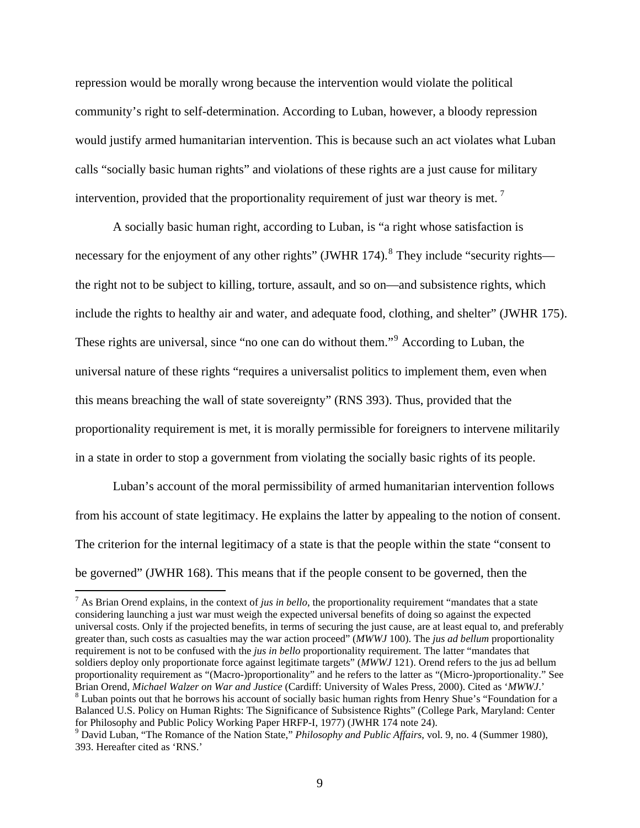repression would be morally wrong because the intervention would violate the political community's right to self-determination. According to Luban, however, a bloody repression would justify armed humanitarian intervention. This is because such an act violates what Luban calls "socially basic human rights" and violations of these rights are a just cause for military intervention, provided that the proportionality requirement of just war theory is met.<sup>[7](#page-11-0)</sup>

 A socially basic human right, according to Luban, is "a right whose satisfaction is necessary for the enjoyment of any other rights" (JWHR 174).<sup>[8](#page-11-1)</sup> They include "security rights the right not to be subject to killing, torture, assault, and so on—and subsistence rights, which include the rights to healthy air and water, and adequate food, clothing, and shelter" (JWHR 175). These rights are universal, since "no one can do without them."<sup>[9](#page-11-2)</sup> According to Luban, the universal nature of these rights "requires a universalist politics to implement them, even when this means breaching the wall of state sovereignty" (RNS 393). Thus, provided that the proportionality requirement is met, it is morally permissible for foreigners to intervene militarily in a state in order to stop a government from violating the socially basic rights of its people.

 Luban's account of the moral permissibility of armed humanitarian intervention follows from his account of state legitimacy. He explains the latter by appealing to the notion of consent. The criterion for the internal legitimacy of a state is that the people within the state "consent to be governed" (JWHR 168). This means that if the people consent to be governed, then the

<span id="page-11-0"></span> 7 As Brian Orend explains, in the context of *jus in bello*, the proportionality requirement "mandates that a state considering launching a just war must weigh the expected universal benefits of doing so against the expected universal costs. Only if the projected benefits, in terms of securing the just cause, are at least equal to, and preferably greater than, such costs as casualties may the war action proceed" (*MWWJ* 100). The *jus ad bellum* proportionality requirement is not to be confused with the *jus in bello* proportionality requirement. The latter "mandates that soldiers deploy only proportionate force against legitimate targets" (*MWWJ* 121). Orend refers to the jus ad bellum proportionality requirement as "(Macro-)proportionality" and he refers to the latter as "(Micro-)proportionality." See Brian Orend, *Michael Walzer on War and Justice* (Cardiff: University of Wales Press, 2000). Cited as '*MWWJ*.' 8 Luban points out that he borrows his account of socially basic human rights from Henry Shue's "Foundation for a Balanced U.S. Policy on Human Rights: The Significance of Subsistence Rights" (College Park, Maryland: Center for Philosophy and Public Policy Working Paper HRFP-I, 1977) (JWHR 174 note 24).

<span id="page-11-2"></span><span id="page-11-1"></span><sup>9</sup> David Luban, "The Romance of the Nation State," *Philosophy and Public Affairs*, vol. 9, no. 4 (Summer 1980), 393. Hereafter cited as 'RNS.'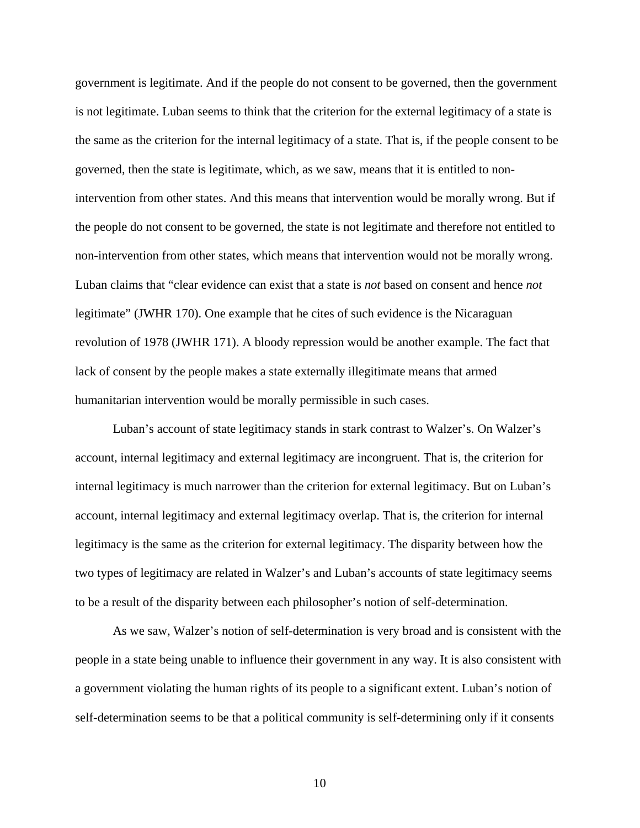government is legitimate. And if the people do not consent to be governed, then the government is not legitimate. Luban seems to think that the criterion for the external legitimacy of a state is the same as the criterion for the internal legitimacy of a state. That is, if the people consent to be governed, then the state is legitimate, which, as we saw, means that it is entitled to nonintervention from other states. And this means that intervention would be morally wrong. But if the people do not consent to be governed, the state is not legitimate and therefore not entitled to non-intervention from other states, which means that intervention would not be morally wrong. Luban claims that "clear evidence can exist that a state is *not* based on consent and hence *not* legitimate" (JWHR 170). One example that he cites of such evidence is the Nicaraguan revolution of 1978 (JWHR 171). A bloody repression would be another example. The fact that lack of consent by the people makes a state externally illegitimate means that armed humanitarian intervention would be morally permissible in such cases.

 Luban's account of state legitimacy stands in stark contrast to Walzer's. On Walzer's account, internal legitimacy and external legitimacy are incongruent. That is, the criterion for internal legitimacy is much narrower than the criterion for external legitimacy. But on Luban's account, internal legitimacy and external legitimacy overlap. That is, the criterion for internal legitimacy is the same as the criterion for external legitimacy. The disparity between how the two types of legitimacy are related in Walzer's and Luban's accounts of state legitimacy seems to be a result of the disparity between each philosopher's notion of self-determination.

 As we saw, Walzer's notion of self-determination is very broad and is consistent with the people in a state being unable to influence their government in any way. It is also consistent with a government violating the human rights of its people to a significant extent. Luban's notion of self-determination seems to be that a political community is self-determining only if it consents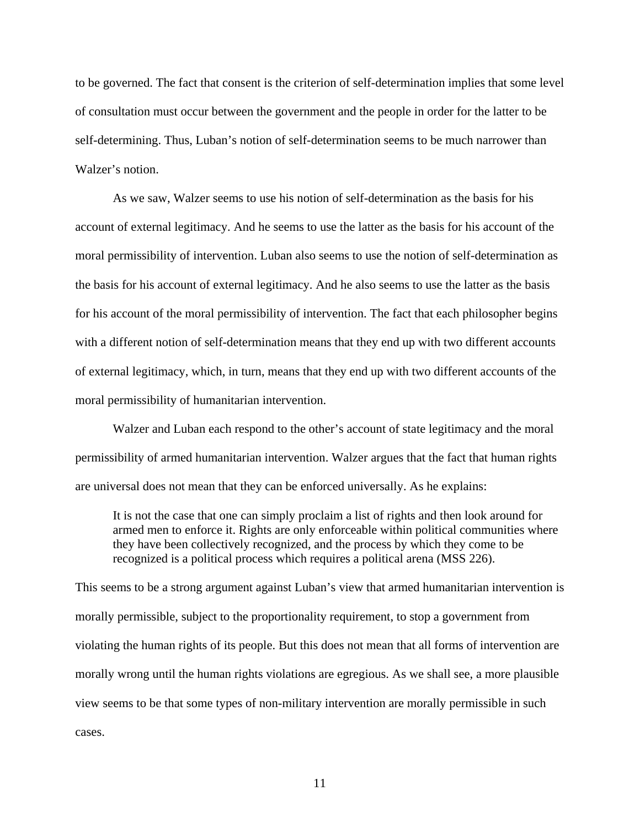to be governed. The fact that consent is the criterion of self-determination implies that some level of consultation must occur between the government and the people in order for the latter to be self-determining. Thus, Luban's notion of self-determination seems to be much narrower than Walzer's notion.

 As we saw, Walzer seems to use his notion of self-determination as the basis for his account of external legitimacy. And he seems to use the latter as the basis for his account of the moral permissibility of intervention. Luban also seems to use the notion of self-determination as the basis for his account of external legitimacy. And he also seems to use the latter as the basis for his account of the moral permissibility of intervention. The fact that each philosopher begins with a different notion of self-determination means that they end up with two different accounts of external legitimacy, which, in turn, means that they end up with two different accounts of the moral permissibility of humanitarian intervention.

 Walzer and Luban each respond to the other's account of state legitimacy and the moral permissibility of armed humanitarian intervention. Walzer argues that the fact that human rights are universal does not mean that they can be enforced universally. As he explains:

 It is not the case that one can simply proclaim a list of rights and then look around for armed men to enforce it. Rights are only enforceable within political communities where they have been collectively recognized, and the process by which they come to be recognized is a political process which requires a political arena (MSS 226).

This seems to be a strong argument against Luban's view that armed humanitarian intervention is morally permissible, subject to the proportionality requirement, to stop a government from violating the human rights of its people. But this does not mean that all forms of intervention are morally wrong until the human rights violations are egregious. As we shall see, a more plausible view seems to be that some types of non-military intervention are morally permissible in such cases.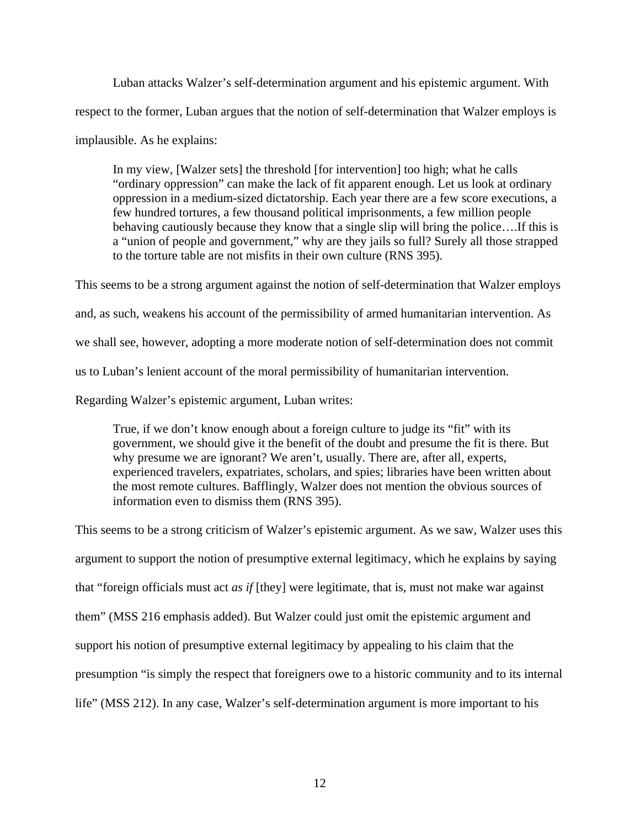Luban attacks Walzer's self-determination argument and his epistemic argument. With respect to the former, Luban argues that the notion of self-determination that Walzer employs is implausible. As he explains:

 In my view, [Walzer sets] the threshold [for intervention] too high; what he calls "ordinary oppression" can make the lack of fit apparent enough. Let us look at ordinary oppression in a medium-sized dictatorship. Each year there are a few score executions, a few hundred tortures, a few thousand political imprisonments, a few million people behaving cautiously because they know that a single slip will bring the police….If this is a "union of people and government," why are they jails so full? Surely all those strapped to the torture table are not misfits in their own culture (RNS 395).

This seems to be a strong argument against the notion of self-determination that Walzer employs and, as such, weakens his account of the permissibility of armed humanitarian intervention. As we shall see, however, adopting a more moderate notion of self-determination does not commit us to Luban's lenient account of the moral permissibility of humanitarian intervention. Regarding Walzer's epistemic argument, Luban writes:

 True, if we don't know enough about a foreign culture to judge its "fit" with its government, we should give it the benefit of the doubt and presume the fit is there. But why presume we are ignorant? We aren't, usually. There are, after all, experts, experienced travelers, expatriates, scholars, and spies; libraries have been written about the most remote cultures. Bafflingly, Walzer does not mention the obvious sources of information even to dismiss them (RNS 395).

This seems to be a strong criticism of Walzer's epistemic argument. As we saw, Walzer uses this argument to support the notion of presumptive external legitimacy, which he explains by saying that "foreign officials must act *as if* [they] were legitimate, that is, must not make war against them" (MSS 216 emphasis added). But Walzer could just omit the epistemic argument and support his notion of presumptive external legitimacy by appealing to his claim that the presumption "is simply the respect that foreigners owe to a historic community and to its internal life" (MSS 212). In any case, Walzer's self-determination argument is more important to his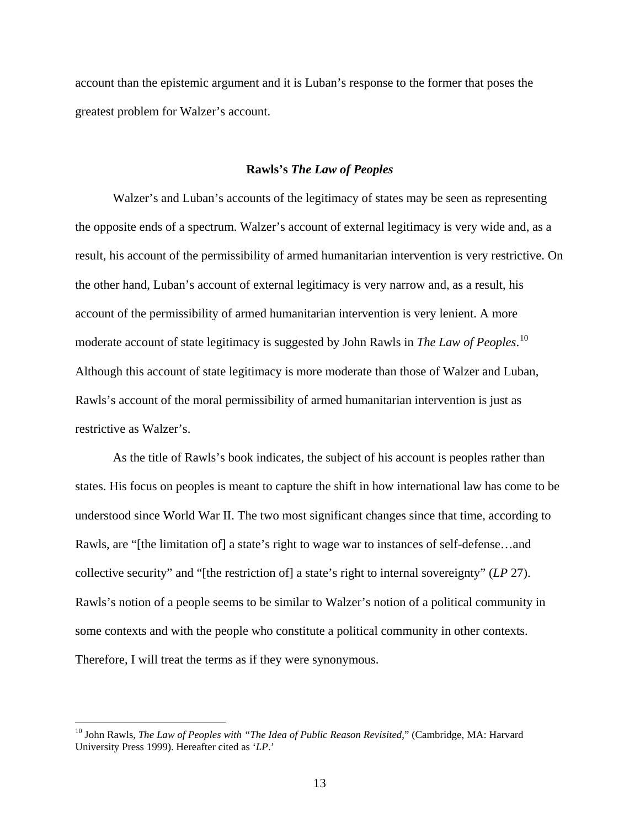account than the epistemic argument and it is Luban's response to the former that poses the greatest problem for Walzer's account.

### **Rawls's** *The Law of Peoples*

 Walzer's and Luban's accounts of the legitimacy of states may be seen as representing the opposite ends of a spectrum. Walzer's account of external legitimacy is very wide and, as a result, his account of the permissibility of armed humanitarian intervention is very restrictive. On the other hand, Luban's account of external legitimacy is very narrow and, as a result, his account of the permissibility of armed humanitarian intervention is very lenient. A more moderate account of state legitimacy is suggested by John Rawls in *The Law of Peoples*. [10](#page-15-0) Although this account of state legitimacy is more moderate than those of Walzer and Luban, Rawls's account of the moral permissibility of armed humanitarian intervention is just as restrictive as Walzer's.

 As the title of Rawls's book indicates, the subject of his account is peoples rather than states. His focus on peoples is meant to capture the shift in how international law has come to be understood since World War II. The two most significant changes since that time, according to Rawls, are "[the limitation of] a state's right to wage war to instances of self-defense…and collective security" and "[the restriction of] a state's right to internal sovereignty" (*LP* 27). Rawls's notion of a people seems to be similar to Walzer's notion of a political community in some contexts and with the people who constitute a political community in other contexts. Therefore, I will treat the terms as if they were synonymous.

<span id="page-15-0"></span><sup>10</sup> John Rawls, *The Law of Peoples with "The Idea of Public Reason Revisited*," (Cambridge, MA: Harvard University Press 1999). Hereafter cited as '*LP*.'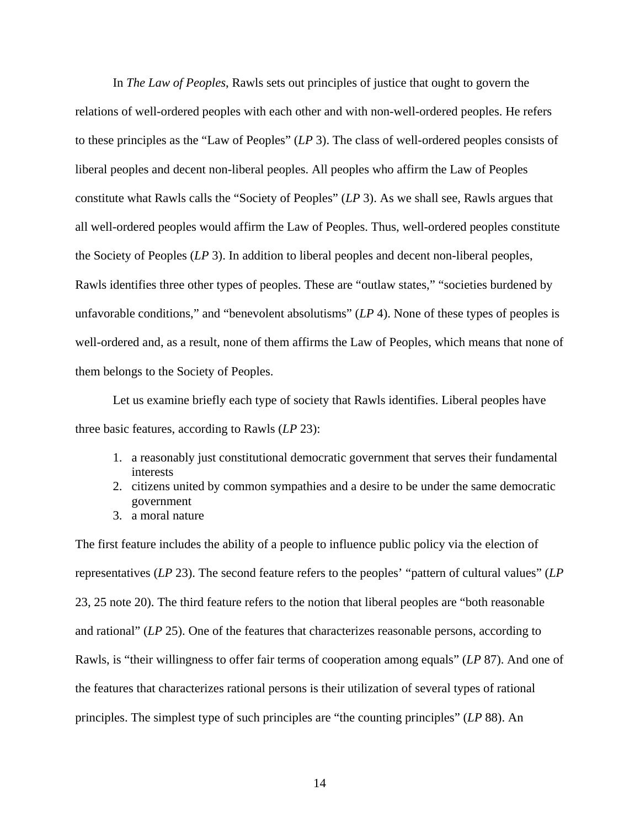In *The Law of Peoples*, Rawls sets out principles of justice that ought to govern the relations of well-ordered peoples with each other and with non-well-ordered peoples. He refers to these principles as the "Law of Peoples" (*LP* 3). The class of well-ordered peoples consists of liberal peoples and decent non-liberal peoples. All peoples who affirm the Law of Peoples constitute what Rawls calls the "Society of Peoples" (*LP* 3). As we shall see, Rawls argues that all well-ordered peoples would affirm the Law of Peoples. Thus, well-ordered peoples constitute the Society of Peoples (*LP* 3). In addition to liberal peoples and decent non-liberal peoples, Rawls identifies three other types of peoples. These are "outlaw states," "societies burdened by unfavorable conditions," and "benevolent absolutisms" (*LP* 4). None of these types of peoples is well-ordered and, as a result, none of them affirms the Law of Peoples, which means that none of them belongs to the Society of Peoples.

 Let us examine briefly each type of society that Rawls identifies. Liberal peoples have three basic features, according to Rawls (*LP* 23):

- 1. a reasonably just constitutional democratic government that serves their fundamental interests
- 2. citizens united by common sympathies and a desire to be under the same democratic government
- 3. a moral nature

The first feature includes the ability of a people to influence public policy via the election of representatives (*LP* 23). The second feature refers to the peoples' "pattern of cultural values" (*LP* 23, 25 note 20). The third feature refers to the notion that liberal peoples are "both reasonable and rational" (*LP* 25). One of the features that characterizes reasonable persons, according to Rawls, is "their willingness to offer fair terms of cooperation among equals" (*LP* 87). And one of the features that characterizes rational persons is their utilization of several types of rational principles. The simplest type of such principles are "the counting principles" (*LP* 88). An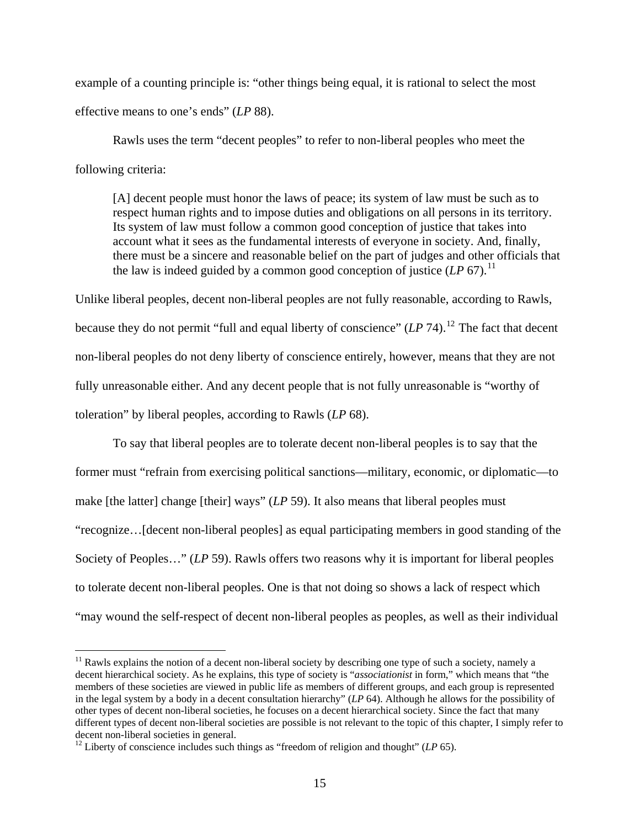example of a counting principle is: "other things being equal, it is rational to select the most effective means to one's ends" (*LP* 88).

 Rawls uses the term "decent peoples" to refer to non-liberal peoples who meet the following criteria:

 [A] decent people must honor the laws of peace; its system of law must be such as to respect human rights and to impose duties and obligations on all persons in its territory. Its system of law must follow a common good conception of justice that takes into account what it sees as the fundamental interests of everyone in society. And, finally, there must be a sincere and reasonable belief on the part of judges and other officials that the law is indeed guided by a common good conception of justice  $(LP\ 67)$ .<sup>[11](#page-17-0)</sup>

Unlike liberal peoples, decent non-liberal peoples are not fully reasonable, according to Rawls, because they do not permit "full and equal liberty of conscience"  $(LP 74)$ .<sup>[12](#page-17-1)</sup> The fact that decent non-liberal peoples do not deny liberty of conscience entirely, however, means that they are not fully unreasonable either. And any decent people that is not fully unreasonable is "worthy of toleration" by liberal peoples, according to Rawls (*LP* 68).

 To say that liberal peoples are to tolerate decent non-liberal peoples is to say that the former must "refrain from exercising political sanctions—military, economic, or diplomatic—to make [the latter] change [their] ways" (*LP* 59). It also means that liberal peoples must "recognize…[decent non-liberal peoples] as equal participating members in good standing of the Society of Peoples…" (*LP* 59). Rawls offers two reasons why it is important for liberal peoples to tolerate decent non-liberal peoples. One is that not doing so shows a lack of respect which "may wound the self-respect of decent non-liberal peoples as peoples, as well as their individual

<span id="page-17-0"></span> $<sup>11</sup>$  Rawls explains the notion of a decent non-liberal society by describing one type of such a society, namely a</sup> decent hierarchical society. As he explains, this type of society is "*associationist* in form," which means that "the members of these societies are viewed in public life as members of different groups, and each group is represented in the legal system by a body in a decent consultation hierarchy" (*LP* 64). Although he allows for the possibility of other types of decent non-liberal societies, he focuses on a decent hierarchical society. Since the fact that many different types of decent non-liberal societies are possible is not relevant to the topic of this chapter, I simply refer to decent non-liberal societies in general.<br><sup>12</sup> Liberty of conscience includes such things as "freedom of religion and thought" (*LP* 65).

<span id="page-17-1"></span>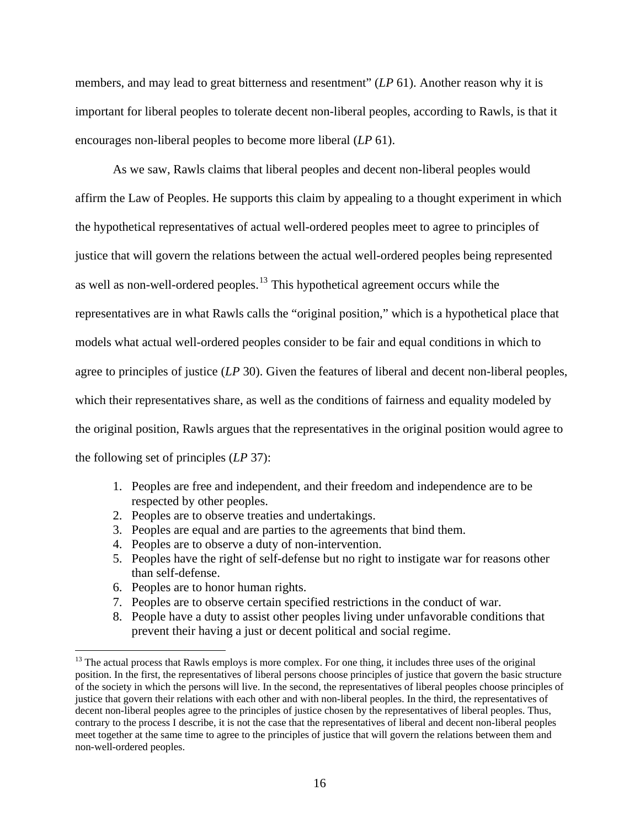members, and may lead to great bitterness and resentment" (*LP* 61). Another reason why it is important for liberal peoples to tolerate decent non-liberal peoples, according to Rawls, is that it encourages non-liberal peoples to become more liberal (*LP* 61).

 As we saw, Rawls claims that liberal peoples and decent non-liberal peoples would affirm the Law of Peoples. He supports this claim by appealing to a thought experiment in which the hypothetical representatives of actual well-ordered peoples meet to agree to principles of justice that will govern the relations between the actual well-ordered peoples being represented as well as non-well-ordered peoples.<sup>[13](#page-18-0)</sup> This hypothetical agreement occurs while the representatives are in what Rawls calls the "original position," which is a hypothetical place that models what actual well-ordered peoples consider to be fair and equal conditions in which to agree to principles of justice (*LP* 30). Given the features of liberal and decent non-liberal peoples, which their representatives share, as well as the conditions of fairness and equality modeled by the original position, Rawls argues that the representatives in the original position would agree to the following set of principles (*LP* 37):

- 1. Peoples are free and independent, and their freedom and independence are to be respected by other peoples.
- 2. Peoples are to observe treaties and undertakings.
- 3. Peoples are equal and are parties to the agreements that bind them.
- 4. Peoples are to observe a duty of non-intervention.
- 5. Peoples have the right of self-defense but no right to instigate war for reasons other than self-defense.
- 6. Peoples are to honor human rights.

- 7. Peoples are to observe certain specified restrictions in the conduct of war.
- 8. People have a duty to assist other peoples living under unfavorable conditions that prevent their having a just or decent political and social regime.

<span id="page-18-0"></span><sup>&</sup>lt;sup>13</sup> The actual process that Rawls employs is more complex. For one thing, it includes three uses of the original position. In the first, the representatives of liberal persons choose principles of justice that govern the basic structure of the society in which the persons will live. In the second, the representatives of liberal peoples choose principles of justice that govern their relations with each other and with non-liberal peoples. In the third, the representatives of decent non-liberal peoples agree to the principles of justice chosen by the representatives of liberal peoples. Thus, contrary to the process I describe, it is not the case that the representatives of liberal and decent non-liberal peoples meet together at the same time to agree to the principles of justice that will govern the relations between them and non-well-ordered peoples.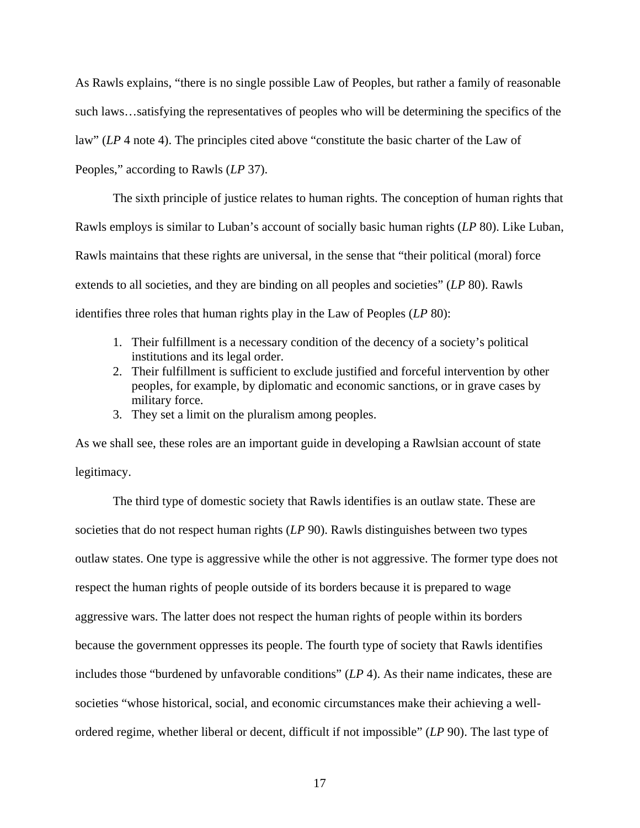As Rawls explains, "there is no single possible Law of Peoples, but rather a family of reasonable such laws…satisfying the representatives of peoples who will be determining the specifics of the law" (*LP* 4 note 4). The principles cited above "constitute the basic charter of the Law of Peoples," according to Rawls (*LP* 37).

 The sixth principle of justice relates to human rights. The conception of human rights that Rawls employs is similar to Luban's account of socially basic human rights (*LP* 80). Like Luban, Rawls maintains that these rights are universal, in the sense that "their political (moral) force extends to all societies, and they are binding on all peoples and societies" (*LP* 80). Rawls identifies three roles that human rights play in the Law of Peoples (*LP* 80):

- 1. Their fulfillment is a necessary condition of the decency of a society's political institutions and its legal order.
- 2. Their fulfillment is sufficient to exclude justified and forceful intervention by other peoples, for example, by diplomatic and economic sanctions, or in grave cases by military force.
- 3. They set a limit on the pluralism among peoples.

As we shall see, these roles are an important guide in developing a Rawlsian account of state legitimacy.

 The third type of domestic society that Rawls identifies is an outlaw state. These are societies that do not respect human rights (*LP* 90). Rawls distinguishes between two types outlaw states. One type is aggressive while the other is not aggressive. The former type does not respect the human rights of people outside of its borders because it is prepared to wage aggressive wars. The latter does not respect the human rights of people within its borders because the government oppresses its people. The fourth type of society that Rawls identifies includes those "burdened by unfavorable conditions" (*LP* 4). As their name indicates, these are societies "whose historical, social, and economic circumstances make their achieving a wellordered regime, whether liberal or decent, difficult if not impossible" (*LP* 90). The last type of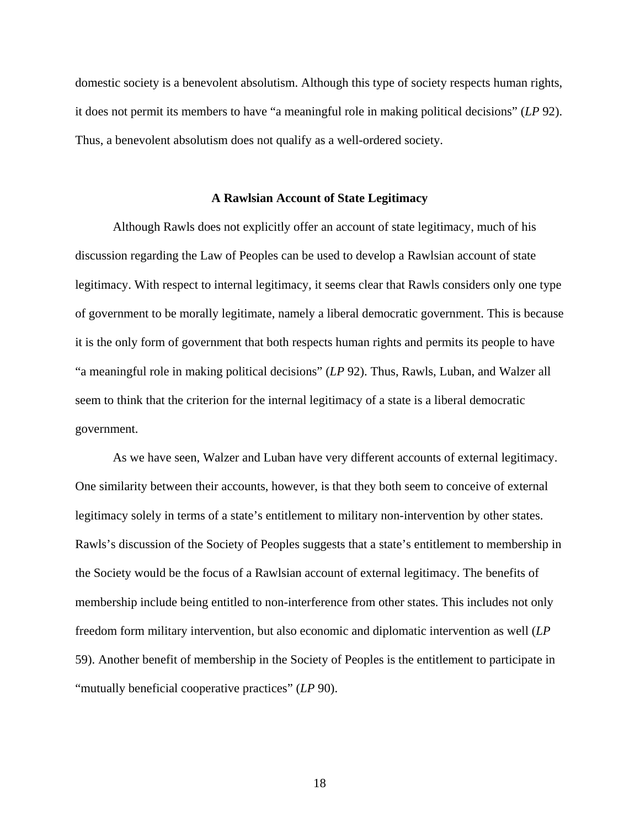domestic society is a benevolent absolutism. Although this type of society respects human rights, it does not permit its members to have "a meaningful role in making political decisions" (*LP* 92). Thus, a benevolent absolutism does not qualify as a well-ordered society.

#### **A Rawlsian Account of State Legitimacy**

 Although Rawls does not explicitly offer an account of state legitimacy, much of his discussion regarding the Law of Peoples can be used to develop a Rawlsian account of state legitimacy. With respect to internal legitimacy, it seems clear that Rawls considers only one type of government to be morally legitimate, namely a liberal democratic government. This is because it is the only form of government that both respects human rights and permits its people to have "a meaningful role in making political decisions" (*LP* 92). Thus, Rawls, Luban, and Walzer all seem to think that the criterion for the internal legitimacy of a state is a liberal democratic government.

 As we have seen, Walzer and Luban have very different accounts of external legitimacy. One similarity between their accounts, however, is that they both seem to conceive of external legitimacy solely in terms of a state's entitlement to military non-intervention by other states. Rawls's discussion of the Society of Peoples suggests that a state's entitlement to membership in the Society would be the focus of a Rawlsian account of external legitimacy. The benefits of membership include being entitled to non-interference from other states. This includes not only freedom form military intervention, but also economic and diplomatic intervention as well (*LP* 59). Another benefit of membership in the Society of Peoples is the entitlement to participate in "mutually beneficial cooperative practices" (*LP* 90).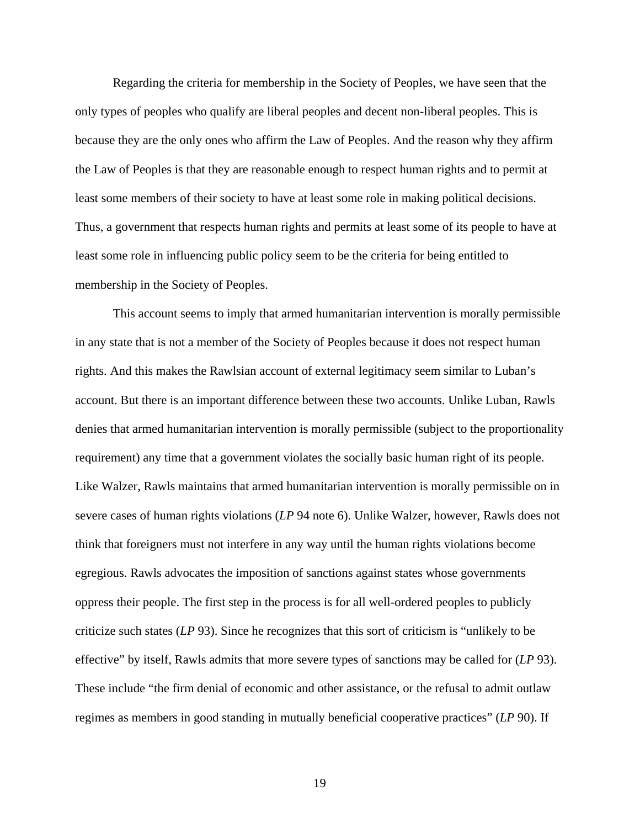Regarding the criteria for membership in the Society of Peoples, we have seen that the only types of peoples who qualify are liberal peoples and decent non-liberal peoples. This is because they are the only ones who affirm the Law of Peoples. And the reason why they affirm the Law of Peoples is that they are reasonable enough to respect human rights and to permit at least some members of their society to have at least some role in making political decisions. Thus, a government that respects human rights and permits at least some of its people to have at least some role in influencing public policy seem to be the criteria for being entitled to membership in the Society of Peoples.

 This account seems to imply that armed humanitarian intervention is morally permissible in any state that is not a member of the Society of Peoples because it does not respect human rights. And this makes the Rawlsian account of external legitimacy seem similar to Luban's account. But there is an important difference between these two accounts. Unlike Luban, Rawls denies that armed humanitarian intervention is morally permissible (subject to the proportionality requirement) any time that a government violates the socially basic human right of its people. Like Walzer, Rawls maintains that armed humanitarian intervention is morally permissible on in severe cases of human rights violations (*LP* 94 note 6). Unlike Walzer, however, Rawls does not think that foreigners must not interfere in any way until the human rights violations become egregious. Rawls advocates the imposition of sanctions against states whose governments oppress their people. The first step in the process is for all well-ordered peoples to publicly criticize such states (*LP* 93). Since he recognizes that this sort of criticism is "unlikely to be effective" by itself, Rawls admits that more severe types of sanctions may be called for (*LP* 93). These include "the firm denial of economic and other assistance, or the refusal to admit outlaw regimes as members in good standing in mutually beneficial cooperative practices" (*LP* 90). If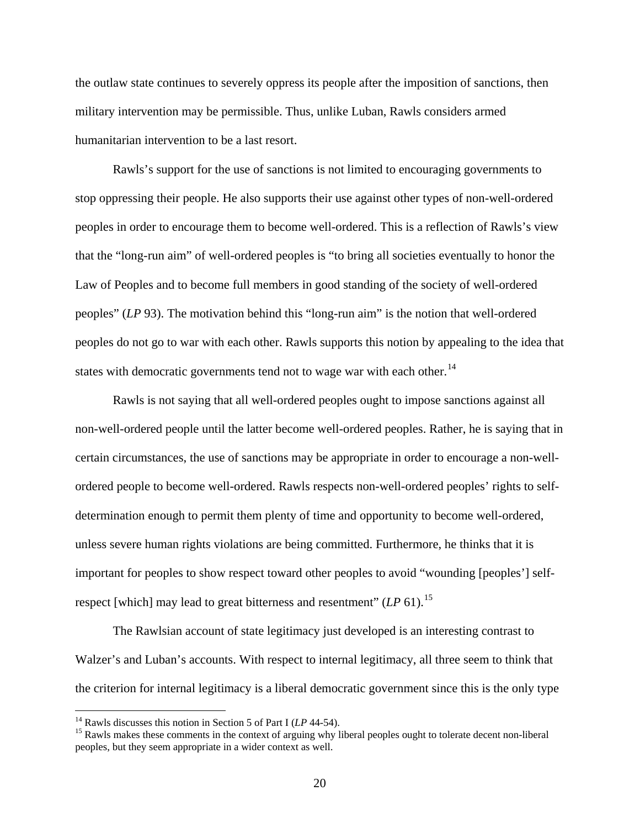the outlaw state continues to severely oppress its people after the imposition of sanctions, then military intervention may be permissible. Thus, unlike Luban, Rawls considers armed humanitarian intervention to be a last resort.

 Rawls's support for the use of sanctions is not limited to encouraging governments to stop oppressing their people. He also supports their use against other types of non-well-ordered peoples in order to encourage them to become well-ordered. This is a reflection of Rawls's view that the "long-run aim" of well-ordered peoples is "to bring all societies eventually to honor the Law of Peoples and to become full members in good standing of the society of well-ordered peoples" (*LP* 93). The motivation behind this "long-run aim" is the notion that well-ordered peoples do not go to war with each other. Rawls supports this notion by appealing to the idea that states with democratic governments tend not to wage war with each other.<sup>[14](#page-22-0)</sup>

 Rawls is not saying that all well-ordered peoples ought to impose sanctions against all non-well-ordered people until the latter become well-ordered peoples. Rather, he is saying that in certain circumstances, the use of sanctions may be appropriate in order to encourage a non-wellordered people to become well-ordered. Rawls respects non-well-ordered peoples' rights to selfdetermination enough to permit them plenty of time and opportunity to become well-ordered, unless severe human rights violations are being committed. Furthermore, he thinks that it is important for peoples to show respect toward other peoples to avoid "wounding [peoples'] selfrespect [which] may lead to great bitterness and resentment" (*LP* 61).<sup>[15](#page-22-1)</sup>

 The Rawlsian account of state legitimacy just developed is an interesting contrast to Walzer's and Luban's accounts. With respect to internal legitimacy, all three seem to think that the criterion for internal legitimacy is a liberal democratic government since this is the only type

<span id="page-22-1"></span><span id="page-22-0"></span><sup>&</sup>lt;sup>14</sup> Rawls discusses this notion in Section 5 of Part I ( $LP$  44-54).<br><sup>15</sup> Rawls makes these comments in the context of arguing why liberal peoples ought to tolerate decent non-liberal peoples, but they seem appropriate in a wider context as well.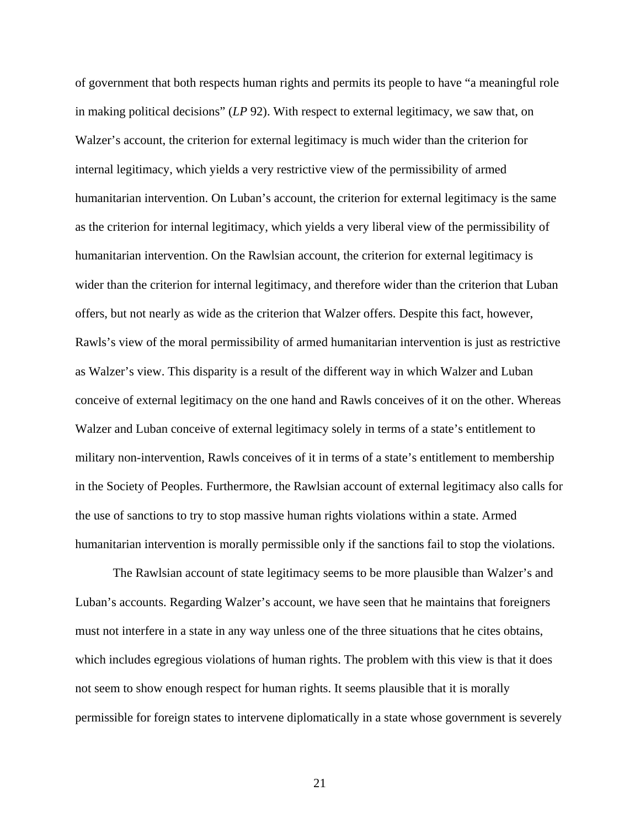of government that both respects human rights and permits its people to have "a meaningful role in making political decisions" (*LP* 92). With respect to external legitimacy, we saw that, on Walzer's account, the criterion for external legitimacy is much wider than the criterion for internal legitimacy, which yields a very restrictive view of the permissibility of armed humanitarian intervention. On Luban's account, the criterion for external legitimacy is the same as the criterion for internal legitimacy, which yields a very liberal view of the permissibility of humanitarian intervention. On the Rawlsian account, the criterion for external legitimacy is wider than the criterion for internal legitimacy, and therefore wider than the criterion that Luban offers, but not nearly as wide as the criterion that Walzer offers. Despite this fact, however, Rawls's view of the moral permissibility of armed humanitarian intervention is just as restrictive as Walzer's view. This disparity is a result of the different way in which Walzer and Luban conceive of external legitimacy on the one hand and Rawls conceives of it on the other. Whereas Walzer and Luban conceive of external legitimacy solely in terms of a state's entitlement to military non-intervention, Rawls conceives of it in terms of a state's entitlement to membership in the Society of Peoples. Furthermore, the Rawlsian account of external legitimacy also calls for the use of sanctions to try to stop massive human rights violations within a state. Armed humanitarian intervention is morally permissible only if the sanctions fail to stop the violations.

 The Rawlsian account of state legitimacy seems to be more plausible than Walzer's and Luban's accounts. Regarding Walzer's account, we have seen that he maintains that foreigners must not interfere in a state in any way unless one of the three situations that he cites obtains, which includes egregious violations of human rights. The problem with this view is that it does not seem to show enough respect for human rights. It seems plausible that it is morally permissible for foreign states to intervene diplomatically in a state whose government is severely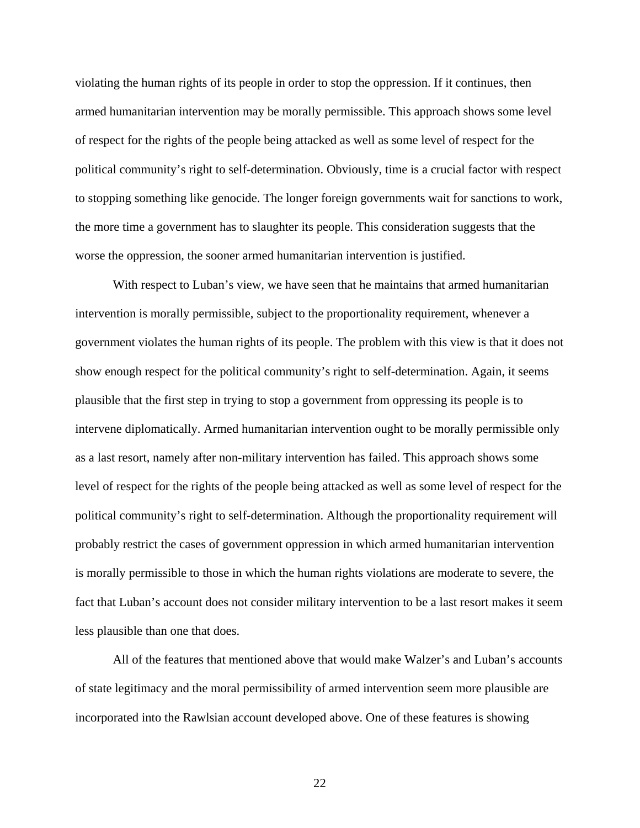violating the human rights of its people in order to stop the oppression. If it continues, then armed humanitarian intervention may be morally permissible. This approach shows some level of respect for the rights of the people being attacked as well as some level of respect for the political community's right to self-determination. Obviously, time is a crucial factor with respect to stopping something like genocide. The longer foreign governments wait for sanctions to work, the more time a government has to slaughter its people. This consideration suggests that the worse the oppression, the sooner armed humanitarian intervention is justified.

 With respect to Luban's view, we have seen that he maintains that armed humanitarian intervention is morally permissible, subject to the proportionality requirement, whenever a government violates the human rights of its people. The problem with this view is that it does not show enough respect for the political community's right to self-determination. Again, it seems plausible that the first step in trying to stop a government from oppressing its people is to intervene diplomatically. Armed humanitarian intervention ought to be morally permissible only as a last resort, namely after non-military intervention has failed. This approach shows some level of respect for the rights of the people being attacked as well as some level of respect for the political community's right to self-determination. Although the proportionality requirement will probably restrict the cases of government oppression in which armed humanitarian intervention is morally permissible to those in which the human rights violations are moderate to severe, the fact that Luban's account does not consider military intervention to be a last resort makes it seem less plausible than one that does.

 All of the features that mentioned above that would make Walzer's and Luban's accounts of state legitimacy and the moral permissibility of armed intervention seem more plausible are incorporated into the Rawlsian account developed above. One of these features is showing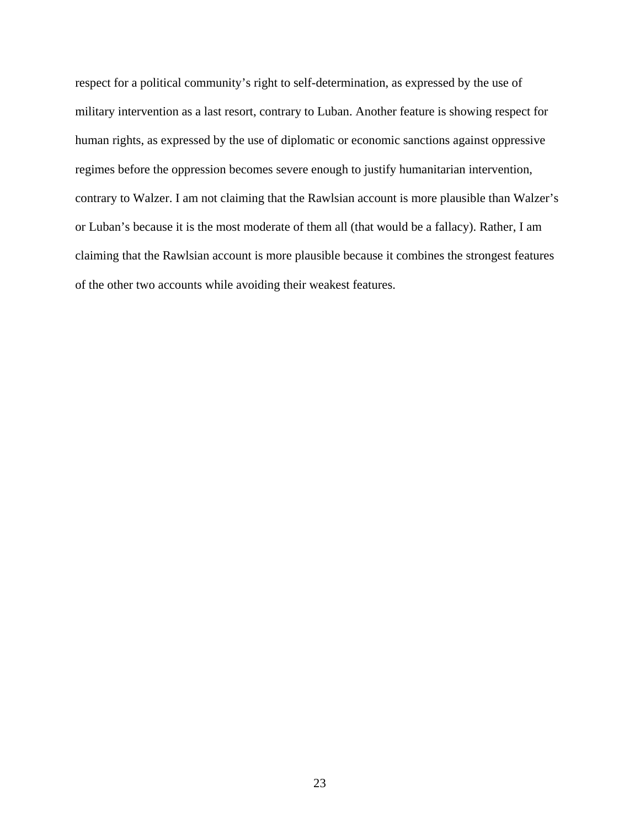respect for a political community's right to self-determination, as expressed by the use of military intervention as a last resort, contrary to Luban. Another feature is showing respect for human rights, as expressed by the use of diplomatic or economic sanctions against oppressive regimes before the oppression becomes severe enough to justify humanitarian intervention, contrary to Walzer. I am not claiming that the Rawlsian account is more plausible than Walzer's or Luban's because it is the most moderate of them all (that would be a fallacy). Rather, I am claiming that the Rawlsian account is more plausible because it combines the strongest features of the other two accounts while avoiding their weakest features.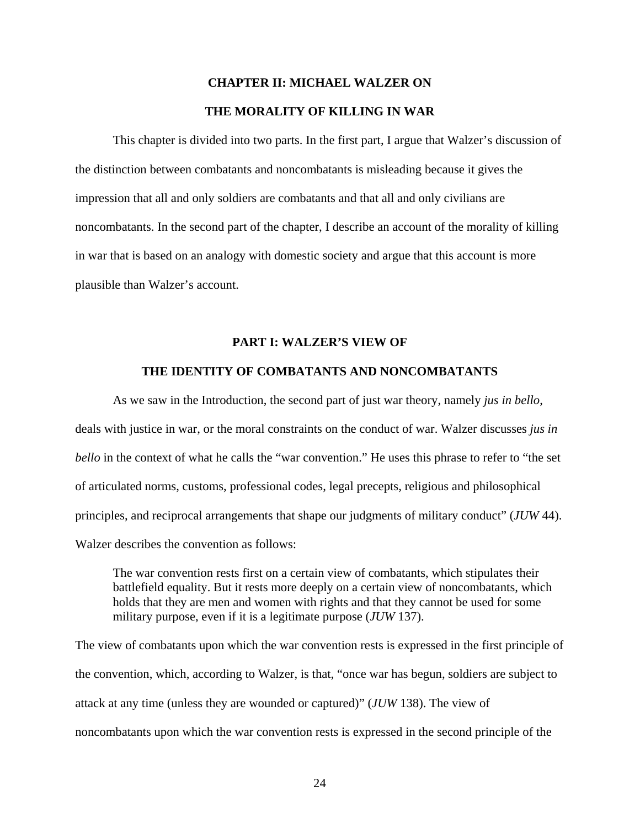# **CHAPTER II: MICHAEL WALZER ON THE MORALITY OF KILLING IN WAR**

 This chapter is divided into two parts. In the first part, I argue that Walzer's discussion of the distinction between combatants and noncombatants is misleading because it gives the impression that all and only soldiers are combatants and that all and only civilians are noncombatants. In the second part of the chapter, I describe an account of the morality of killing in war that is based on an analogy with domestic society and argue that this account is more plausible than Walzer's account.

### **PART I: WALZER'S VIEW OF**

### **THE IDENTITY OF COMBATANTS AND NONCOMBATANTS**

 As we saw in the Introduction, the second part of just war theory, namely *jus in bello*, deals with justice in war, or the moral constraints on the conduct of war. Walzer discusses *jus in bello* in the context of what he calls the "war convention." He uses this phrase to refer to "the set of articulated norms, customs, professional codes, legal precepts, religious and philosophical principles, and reciprocal arrangements that shape our judgments of military conduct" (*JUW* 44). Walzer describes the convention as follows:

 The war convention rests first on a certain view of combatants, which stipulates their battlefield equality. But it rests more deeply on a certain view of noncombatants, which holds that they are men and women with rights and that they cannot be used for some military purpose, even if it is a legitimate purpose (*JUW* 137).

The view of combatants upon which the war convention rests is expressed in the first principle of the convention, which, according to Walzer, is that, "once war has begun, soldiers are subject to attack at any time (unless they are wounded or captured)" (*JUW* 138). The view of noncombatants upon which the war convention rests is expressed in the second principle of the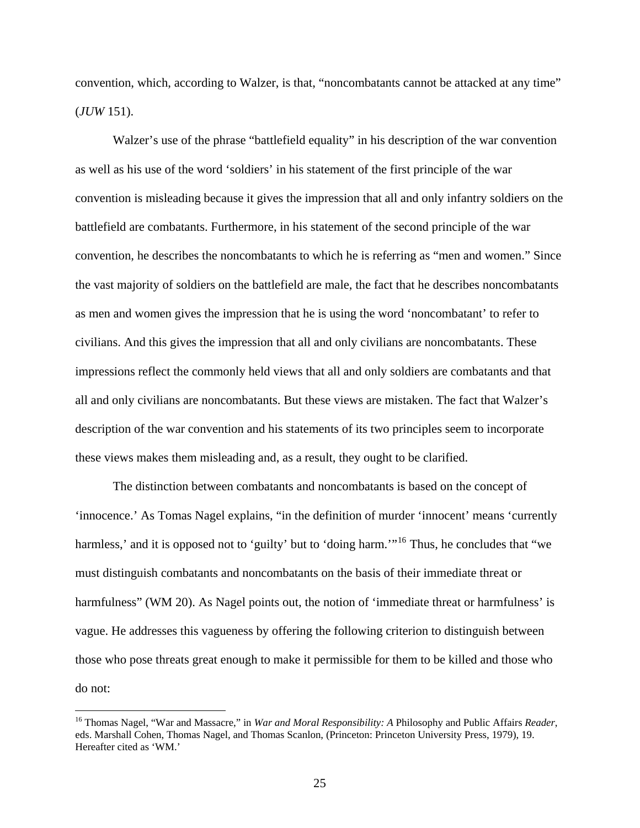convention, which, according to Walzer, is that, "noncombatants cannot be attacked at any time" (*JUW* 151).

 Walzer's use of the phrase "battlefield equality" in his description of the war convention as well as his use of the word 'soldiers' in his statement of the first principle of the war convention is misleading because it gives the impression that all and only infantry soldiers on the battlefield are combatants. Furthermore, in his statement of the second principle of the war convention, he describes the noncombatants to which he is referring as "men and women." Since the vast majority of soldiers on the battlefield are male, the fact that he describes noncombatants as men and women gives the impression that he is using the word 'noncombatant' to refer to civilians. And this gives the impression that all and only civilians are noncombatants. These impressions reflect the commonly held views that all and only soldiers are combatants and that all and only civilians are noncombatants. But these views are mistaken. The fact that Walzer's description of the war convention and his statements of its two principles seem to incorporate these views makes them misleading and, as a result, they ought to be clarified.

 The distinction between combatants and noncombatants is based on the concept of 'innocence.' As Tomas Nagel explains, "in the definition of murder 'innocent' means 'currently harmless,' and it is opposed not to 'guilty' but to 'doing harm."<sup>[16](#page-27-0)</sup> Thus, he concludes that "we must distinguish combatants and noncombatants on the basis of their immediate threat or harmfulness" (WM 20). As Nagel points out, the notion of 'immediate threat or harmfulness' is vague. He addresses this vagueness by offering the following criterion to distinguish between those who pose threats great enough to make it permissible for them to be killed and those who do not:

<span id="page-27-0"></span><sup>16</sup> Thomas Nagel, "War and Massacre," in *War and Moral Responsibility: A* Philosophy and Public Affairs *Reader*, eds. Marshall Cohen, Thomas Nagel, and Thomas Scanlon, (Princeton: Princeton University Press, 1979), 19. Hereafter cited as 'WM.'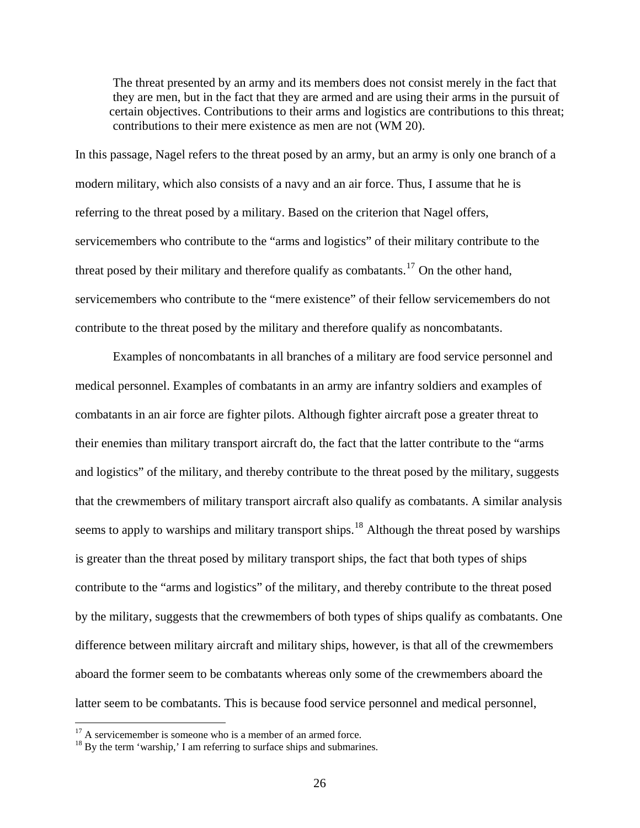The threat presented by an army and its members does not consist merely in the fact that they are men, but in the fact that they are armed and are using their arms in the pursuit of certain objectives. Contributions to their arms and logistics are contributions to this threat; contributions to their mere existence as men are not (WM 20).

In this passage, Nagel refers to the threat posed by an army, but an army is only one branch of a modern military, which also consists of a navy and an air force. Thus, I assume that he is referring to the threat posed by a military. Based on the criterion that Nagel offers, servicemembers who contribute to the "arms and logistics" of their military contribute to the threat posed by their military and therefore qualify as combatants.<sup>[17](#page-28-0)</sup> On the other hand, servicemembers who contribute to the "mere existence" of their fellow servicemembers do not contribute to the threat posed by the military and therefore qualify as noncombatants.

 Examples of noncombatants in all branches of a military are food service personnel and medical personnel. Examples of combatants in an army are infantry soldiers and examples of combatants in an air force are fighter pilots. Although fighter aircraft pose a greater threat to their enemies than military transport aircraft do, the fact that the latter contribute to the "arms and logistics" of the military, and thereby contribute to the threat posed by the military, suggests that the crewmembers of military transport aircraft also qualify as combatants. A similar analysis seems to apply to warships and military transport ships.<sup>[18](#page-28-1)</sup> Although the threat posed by warships is greater than the threat posed by military transport ships, the fact that both types of ships contribute to the "arms and logistics" of the military, and thereby contribute to the threat posed by the military, suggests that the crewmembers of both types of ships qualify as combatants. One difference between military aircraft and military ships, however, is that all of the crewmembers aboard the former seem to be combatants whereas only some of the crewmembers aboard the latter seem to be combatants. This is because food service personnel and medical personnel,

<span id="page-28-0"></span> $17$  A servicemember is someone who is a member of an armed force.

<span id="page-28-1"></span><sup>&</sup>lt;sup>18</sup> By the term 'warship,' I am referring to surface ships and submarines.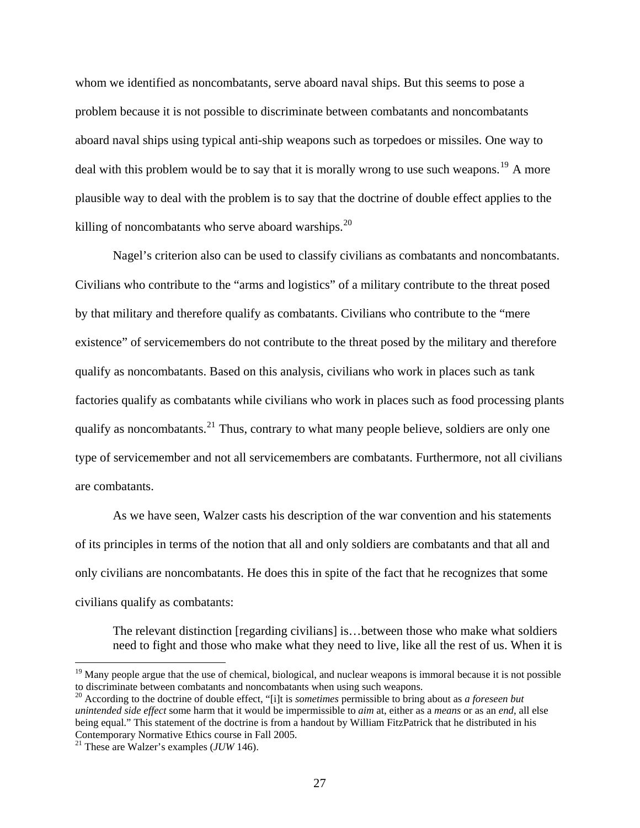whom we identified as noncombatants, serve aboard naval ships. But this seems to pose a problem because it is not possible to discriminate between combatants and noncombatants aboard naval ships using typical anti-ship weapons such as torpedoes or missiles. One way to deal with this problem would be to say that it is morally wrong to use such weapons.<sup>[19](#page-29-0)</sup> A more plausible way to deal with the problem is to say that the doctrine of double effect applies to the killing of noncombatants who serve aboard warships. $^{20}$  $^{20}$  $^{20}$ 

 Nagel's criterion also can be used to classify civilians as combatants and noncombatants. Civilians who contribute to the "arms and logistics" of a military contribute to the threat posed by that military and therefore qualify as combatants. Civilians who contribute to the "mere existence" of servicemembers do not contribute to the threat posed by the military and therefore qualify as noncombatants. Based on this analysis, civilians who work in places such as tank factories qualify as combatants while civilians who work in places such as food processing plants qualify as noncombatants. $^{21}$  $^{21}$  $^{21}$  Thus, contrary to what many people believe, soldiers are only one type of servicemember and not all servicemembers are combatants. Furthermore, not all civilians are combatants.

 As we have seen, Walzer casts his description of the war convention and his statements of its principles in terms of the notion that all and only soldiers are combatants and that all and only civilians are noncombatants. He does this in spite of the fact that he recognizes that some civilians qualify as combatants:

 The relevant distinction [regarding civilians] is…between those who make what soldiers need to fight and those who make what they need to live, like all the rest of us. When it is

<span id="page-29-0"></span><sup>&</sup>lt;sup>19</sup> Many people argue that the use of chemical, biological, and nuclear weapons is immoral because it is not possible to discriminate between combatants and noncombatants when using such weapons.

<span id="page-29-1"></span><sup>20</sup> According to the doctrine of double effect, "[i]t is *sometimes* permissible to bring about as *a foreseen but unintended side effect* some harm that it would be impermissible to *aim* at, either as a *means* or as an *end*, all else being equal." This statement of the doctrine is from a handout by William FitzPatrick that he distributed in his Contemporary Normative Ethics course in Fall 2005.

<span id="page-29-2"></span><sup>21</sup> These are Walzer's examples (*JUW* 146).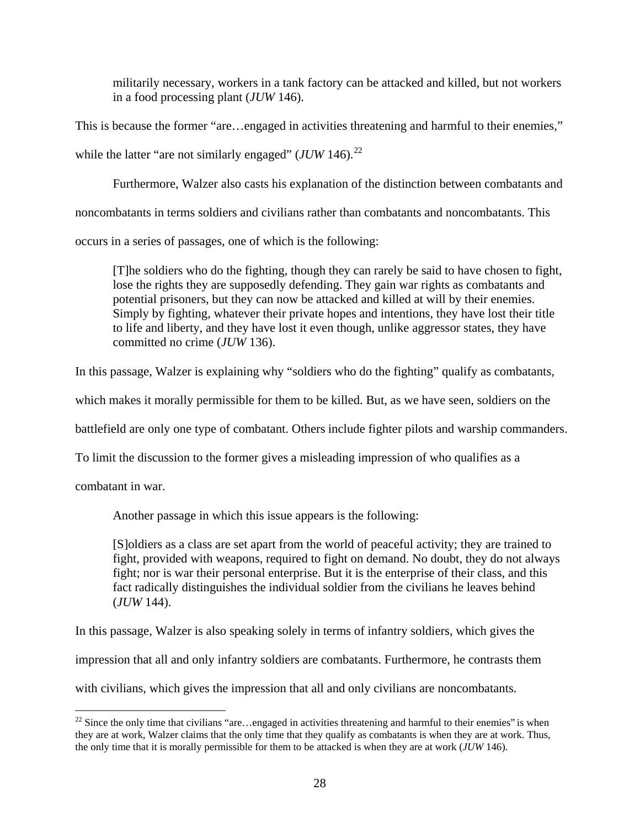militarily necessary, workers in a tank factory can be attacked and killed, but not workers in a food processing plant (*JUW* 146).

This is because the former "are…engaged in activities threatening and harmful to their enemies," while the latter "are not similarly engaged" (*JUW* 146).<sup>[22](#page-30-0)</sup>

Furthermore, Walzer also casts his explanation of the distinction between combatants and

noncombatants in terms soldiers and civilians rather than combatants and noncombatants. This

occurs in a series of passages, one of which is the following:

 [T]he soldiers who do the fighting, though they can rarely be said to have chosen to fight, lose the rights they are supposedly defending. They gain war rights as combatants and potential prisoners, but they can now be attacked and killed at will by their enemies. Simply by fighting, whatever their private hopes and intentions, they have lost their title to life and liberty, and they have lost it even though, unlike aggressor states, they have committed no crime (*JUW* 136).

In this passage, Walzer is explaining why "soldiers who do the fighting" qualify as combatants,

which makes it morally permissible for them to be killed. But, as we have seen, soldiers on the

battlefield are only one type of combatant. Others include fighter pilots and warship commanders.

To limit the discussion to the former gives a misleading impression of who qualifies as a

combatant in war.

Another passage in which this issue appears is the following:

 [S]oldiers as a class are set apart from the world of peaceful activity; they are trained to fight, provided with weapons, required to fight on demand. No doubt, they do not always fight; nor is war their personal enterprise. But it is the enterprise of their class, and this fact radically distinguishes the individual soldier from the civilians he leaves behind (*JUW* 144).

In this passage, Walzer is also speaking solely in terms of infantry soldiers, which gives the

impression that all and only infantry soldiers are combatants. Furthermore, he contrasts them

with civilians, which gives the impression that all and only civilians are noncombatants.

<span id="page-30-0"></span> $\overline{a}$  $22$  Since the only time that civilians "are...engaged in activities threatening and harmful to their enemies" is when they are at work, Walzer claims that the only time that they qualify as combatants is when they are at work. Thus, the only time that it is morally permissible for them to be attacked is when they are at work (*JUW* 146).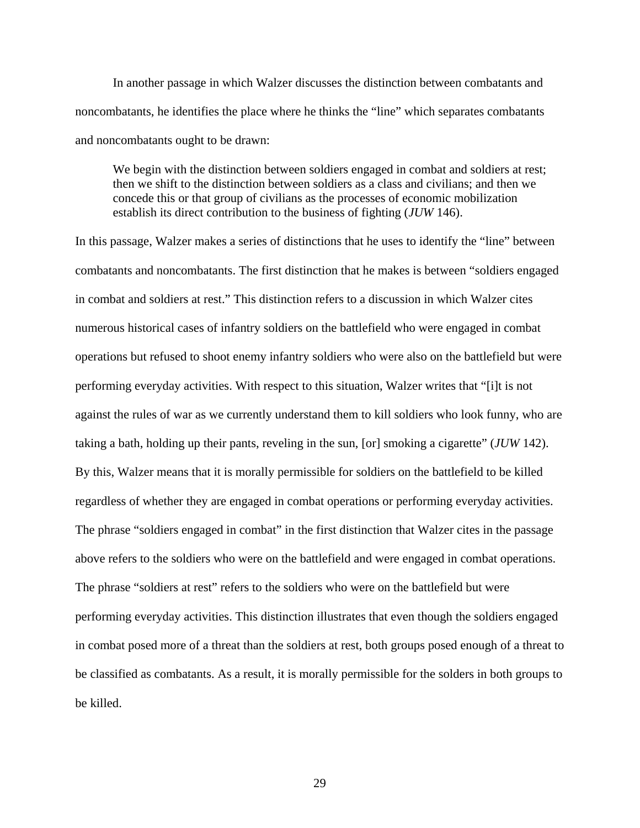In another passage in which Walzer discusses the distinction between combatants and noncombatants, he identifies the place where he thinks the "line" which separates combatants and noncombatants ought to be drawn:

We begin with the distinction between soldiers engaged in combat and soldiers at rest; then we shift to the distinction between soldiers as a class and civilians; and then we concede this or that group of civilians as the processes of economic mobilization establish its direct contribution to the business of fighting (*JUW* 146).

In this passage, Walzer makes a series of distinctions that he uses to identify the "line" between combatants and noncombatants. The first distinction that he makes is between "soldiers engaged in combat and soldiers at rest." This distinction refers to a discussion in which Walzer cites numerous historical cases of infantry soldiers on the battlefield who were engaged in combat operations but refused to shoot enemy infantry soldiers who were also on the battlefield but were performing everyday activities. With respect to this situation, Walzer writes that "[i]t is not against the rules of war as we currently understand them to kill soldiers who look funny, who are taking a bath, holding up their pants, reveling in the sun, [or] smoking a cigarette" (*JUW* 142). By this, Walzer means that it is morally permissible for soldiers on the battlefield to be killed regardless of whether they are engaged in combat operations or performing everyday activities. The phrase "soldiers engaged in combat" in the first distinction that Walzer cites in the passage above refers to the soldiers who were on the battlefield and were engaged in combat operations. The phrase "soldiers at rest" refers to the soldiers who were on the battlefield but were performing everyday activities. This distinction illustrates that even though the soldiers engaged in combat posed more of a threat than the soldiers at rest, both groups posed enough of a threat to be classified as combatants. As a result, it is morally permissible for the solders in both groups to be killed.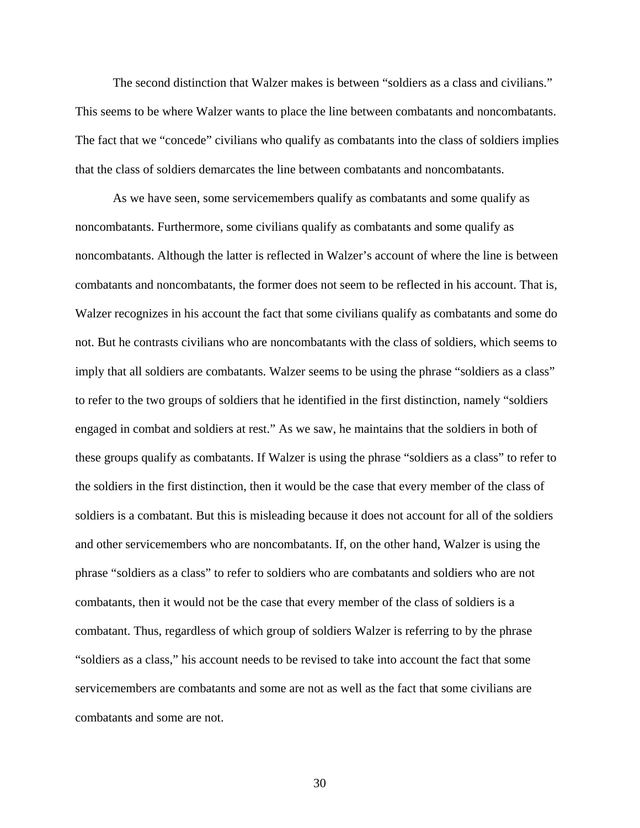The second distinction that Walzer makes is between "soldiers as a class and civilians." This seems to be where Walzer wants to place the line between combatants and noncombatants. The fact that we "concede" civilians who qualify as combatants into the class of soldiers implies that the class of soldiers demarcates the line between combatants and noncombatants.

 As we have seen, some servicemembers qualify as combatants and some qualify as noncombatants. Furthermore, some civilians qualify as combatants and some qualify as noncombatants. Although the latter is reflected in Walzer's account of where the line is between combatants and noncombatants, the former does not seem to be reflected in his account. That is, Walzer recognizes in his account the fact that some civilians qualify as combatants and some do not. But he contrasts civilians who are noncombatants with the class of soldiers, which seems to imply that all soldiers are combatants. Walzer seems to be using the phrase "soldiers as a class" to refer to the two groups of soldiers that he identified in the first distinction, namely "soldiers engaged in combat and soldiers at rest." As we saw, he maintains that the soldiers in both of these groups qualify as combatants. If Walzer is using the phrase "soldiers as a class" to refer to the soldiers in the first distinction, then it would be the case that every member of the class of soldiers is a combatant. But this is misleading because it does not account for all of the soldiers and other servicemembers who are noncombatants. If, on the other hand, Walzer is using the phrase "soldiers as a class" to refer to soldiers who are combatants and soldiers who are not combatants, then it would not be the case that every member of the class of soldiers is a combatant. Thus, regardless of which group of soldiers Walzer is referring to by the phrase "soldiers as a class," his account needs to be revised to take into account the fact that some servicemembers are combatants and some are not as well as the fact that some civilians are combatants and some are not.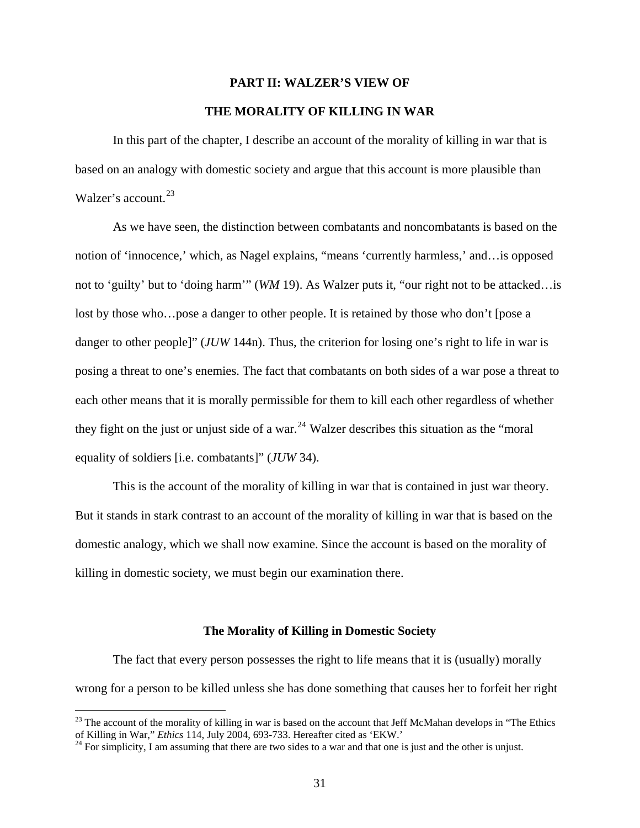# **PART II: WALZER'S VIEW OF**

### **THE MORALITY OF KILLING IN WAR**

 In this part of the chapter, I describe an account of the morality of killing in war that is based on an analogy with domestic society and argue that this account is more plausible than Walzer's account.<sup>[23](#page-33-0)</sup>

 As we have seen, the distinction between combatants and noncombatants is based on the notion of 'innocence,' which, as Nagel explains, "means 'currently harmless,' and…is opposed not to 'guilty' but to 'doing harm'" (*WM* 19). As Walzer puts it, "our right not to be attacked…is lost by those who…pose a danger to other people. It is retained by those who don't [pose a danger to other people]" (*JUW* 144n). Thus, the criterion for losing one's right to life in war is posing a threat to one's enemies. The fact that combatants on both sides of a war pose a threat to each other means that it is morally permissible for them to kill each other regardless of whether they fight on the just or unjust side of a war.<sup>[24](#page-33-1)</sup> Walzer describes this situation as the "moral" equality of soldiers [i.e. combatants]" (*JUW* 34).

 This is the account of the morality of killing in war that is contained in just war theory. But it stands in stark contrast to an account of the morality of killing in war that is based on the domestic analogy, which we shall now examine. Since the account is based on the morality of killing in domestic society, we must begin our examination there.

### **The Morality of Killing in Domestic Society**

 The fact that every person possesses the right to life means that it is (usually) morally wrong for a person to be killed unless she has done something that causes her to forfeit her right

<span id="page-33-0"></span><sup>&</sup>lt;sup>23</sup> The account of the morality of killing in war is based on the account that Jeff McMahan develops in "The Ethics of Killing in War," *Ethics* 114, July 2004, 693-733. Hereafter cited as 'EKW.'

<span id="page-33-1"></span><sup>&</sup>lt;sup>24</sup> For simplicity, I am assuming that there are two sides to a war and that one is just and the other is unjust.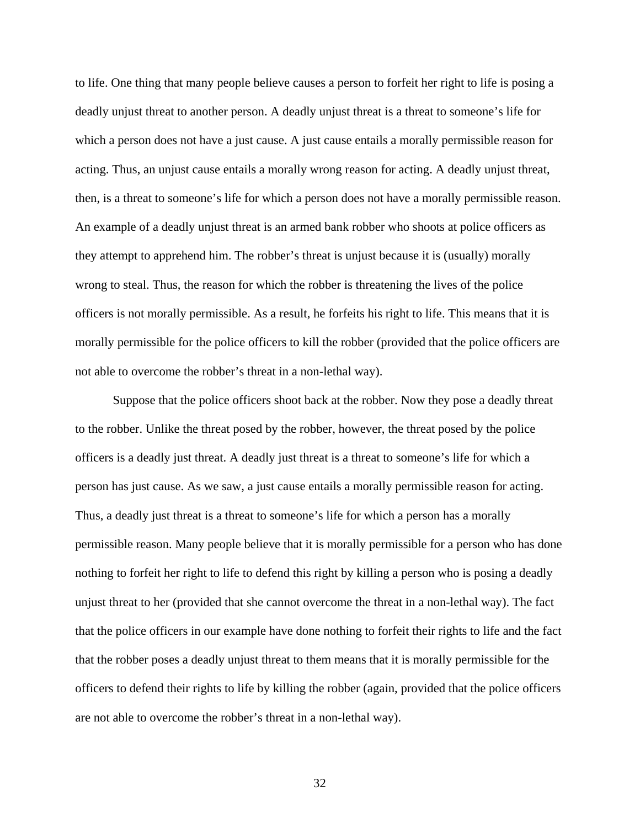to life. One thing that many people believe causes a person to forfeit her right to life is posing a deadly unjust threat to another person. A deadly unjust threat is a threat to someone's life for which a person does not have a just cause. A just cause entails a morally permissible reason for acting. Thus, an unjust cause entails a morally wrong reason for acting. A deadly unjust threat, then, is a threat to someone's life for which a person does not have a morally permissible reason. An example of a deadly unjust threat is an armed bank robber who shoots at police officers as they attempt to apprehend him. The robber's threat is unjust because it is (usually) morally wrong to steal. Thus, the reason for which the robber is threatening the lives of the police officers is not morally permissible. As a result, he forfeits his right to life. This means that it is morally permissible for the police officers to kill the robber (provided that the police officers are not able to overcome the robber's threat in a non-lethal way).

 Suppose that the police officers shoot back at the robber. Now they pose a deadly threat to the robber. Unlike the threat posed by the robber, however, the threat posed by the police officers is a deadly just threat. A deadly just threat is a threat to someone's life for which a person has just cause. As we saw, a just cause entails a morally permissible reason for acting. Thus, a deadly just threat is a threat to someone's life for which a person has a morally permissible reason. Many people believe that it is morally permissible for a person who has done nothing to forfeit her right to life to defend this right by killing a person who is posing a deadly unjust threat to her (provided that she cannot overcome the threat in a non-lethal way). The fact that the police officers in our example have done nothing to forfeit their rights to life and the fact that the robber poses a deadly unjust threat to them means that it is morally permissible for the officers to defend their rights to life by killing the robber (again, provided that the police officers are not able to overcome the robber's threat in a non-lethal way).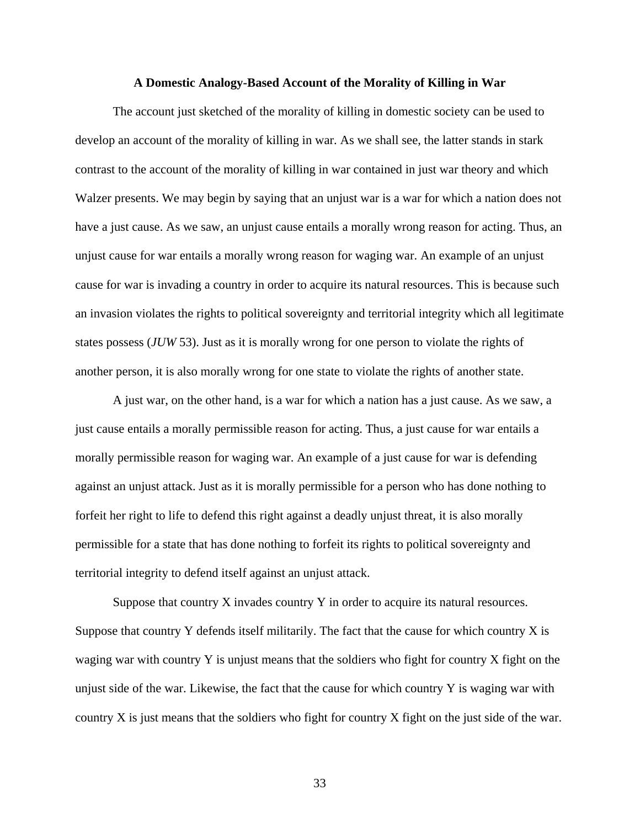### **A Domestic Analogy-Based Account of the Morality of Killing in War**

 The account just sketched of the morality of killing in domestic society can be used to develop an account of the morality of killing in war. As we shall see, the latter stands in stark contrast to the account of the morality of killing in war contained in just war theory and which Walzer presents. We may begin by saying that an unjust war is a war for which a nation does not have a just cause. As we saw, an unjust cause entails a morally wrong reason for acting. Thus, an unjust cause for war entails a morally wrong reason for waging war. An example of an unjust cause for war is invading a country in order to acquire its natural resources. This is because such an invasion violates the rights to political sovereignty and territorial integrity which all legitimate states possess (*JUW* 53). Just as it is morally wrong for one person to violate the rights of another person, it is also morally wrong for one state to violate the rights of another state.

 A just war, on the other hand, is a war for which a nation has a just cause. As we saw, a just cause entails a morally permissible reason for acting. Thus, a just cause for war entails a morally permissible reason for waging war. An example of a just cause for war is defending against an unjust attack. Just as it is morally permissible for a person who has done nothing to forfeit her right to life to defend this right against a deadly unjust threat, it is also morally permissible for a state that has done nothing to forfeit its rights to political sovereignty and territorial integrity to defend itself against an unjust attack.

 Suppose that country X invades country Y in order to acquire its natural resources. Suppose that country Y defends itself militarily. The fact that the cause for which country X is waging war with country Y is unjust means that the soldiers who fight for country X fight on the unjust side of the war. Likewise, the fact that the cause for which country Y is waging war with country X is just means that the soldiers who fight for country X fight on the just side of the war.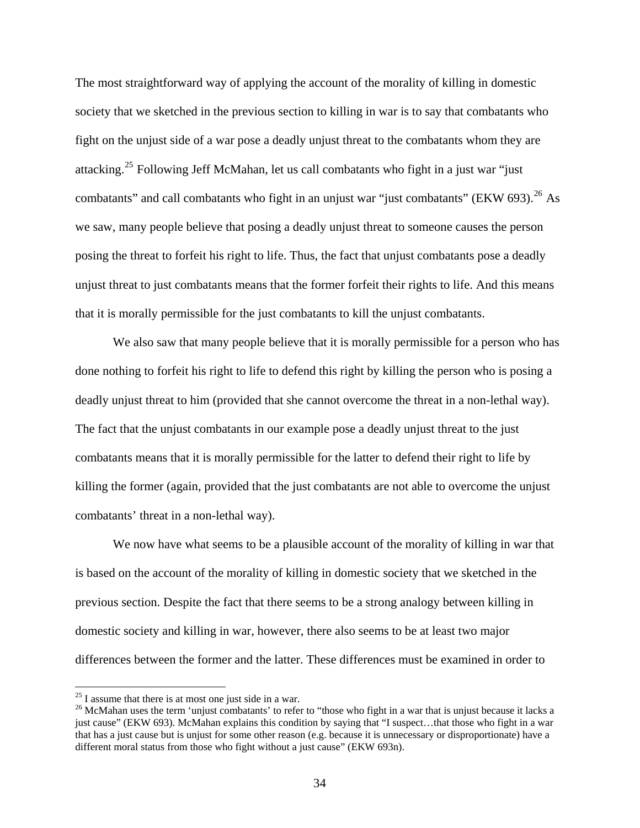The most straightforward way of applying the account of the morality of killing in domestic society that we sketched in the previous section to killing in war is to say that combatants who fight on the unjust side of a war pose a deadly unjust threat to the combatants whom they are attacking.[25](#page-36-0) Following Jeff McMahan, let us call combatants who fight in a just war "just combatants" and call combatants who fight in an unjust war "just combatants" (EKW 693).<sup>[26](#page-36-1)</sup> As we saw, many people believe that posing a deadly unjust threat to someone causes the person posing the threat to forfeit his right to life. Thus, the fact that unjust combatants pose a deadly unjust threat to just combatants means that the former forfeit their rights to life. And this means that it is morally permissible for the just combatants to kill the unjust combatants.

We also saw that many people believe that it is morally permissible for a person who has done nothing to forfeit his right to life to defend this right by killing the person who is posing a deadly unjust threat to him (provided that she cannot overcome the threat in a non-lethal way). The fact that the unjust combatants in our example pose a deadly unjust threat to the just combatants means that it is morally permissible for the latter to defend their right to life by killing the former (again, provided that the just combatants are not able to overcome the unjust combatants' threat in a non-lethal way).

 We now have what seems to be a plausible account of the morality of killing in war that is based on the account of the morality of killing in domestic society that we sketched in the previous section. Despite the fact that there seems to be a strong analogy between killing in domestic society and killing in war, however, there also seems to be at least two major differences between the former and the latter. These differences must be examined in order to

<span id="page-36-0"></span> $25$  I assume that there is at most one just side in a war.

<span id="page-36-1"></span><sup>&</sup>lt;sup>26</sup> McMahan uses the term 'unjust combatants' to refer to "those who fight in a war that is unjust because it lacks a just cause" (EKW 693). McMahan explains this condition by saying that "I suspect…that those who fight in a war that has a just cause but is unjust for some other reason (e.g. because it is unnecessary or disproportionate) have a different moral status from those who fight without a just cause" (EKW 693n).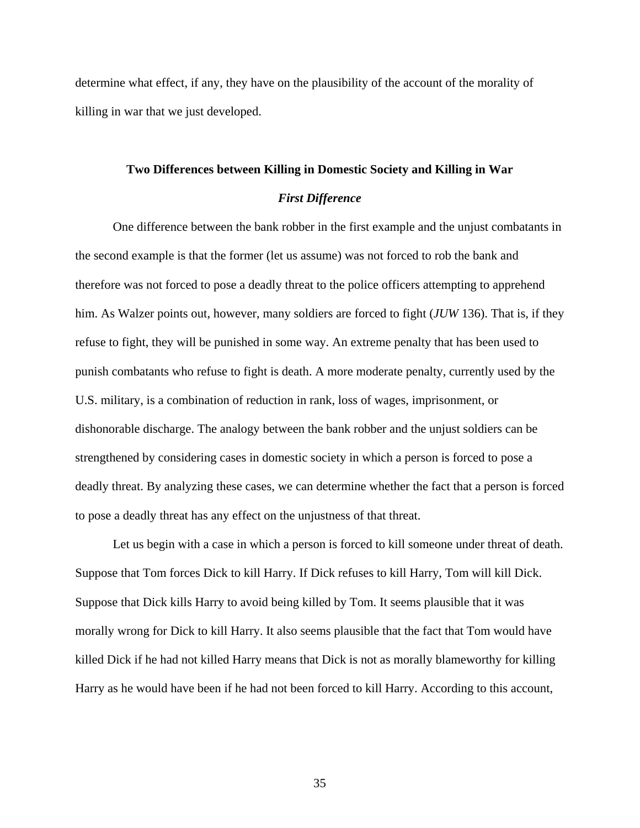determine what effect, if any, they have on the plausibility of the account of the morality of killing in war that we just developed.

# **Two Differences between Killing in Domestic Society and Killing in War**  *First Difference*

 One difference between the bank robber in the first example and the unjust combatants in the second example is that the former (let us assume) was not forced to rob the bank and therefore was not forced to pose a deadly threat to the police officers attempting to apprehend him. As Walzer points out, however, many soldiers are forced to fight (*JUW* 136). That is, if they refuse to fight, they will be punished in some way. An extreme penalty that has been used to punish combatants who refuse to fight is death. A more moderate penalty, currently used by the U.S. military, is a combination of reduction in rank, loss of wages, imprisonment, or dishonorable discharge. The analogy between the bank robber and the unjust soldiers can be strengthened by considering cases in domestic society in which a person is forced to pose a deadly threat. By analyzing these cases, we can determine whether the fact that a person is forced to pose a deadly threat has any effect on the unjustness of that threat.

 Let us begin with a case in which a person is forced to kill someone under threat of death. Suppose that Tom forces Dick to kill Harry. If Dick refuses to kill Harry, Tom will kill Dick. Suppose that Dick kills Harry to avoid being killed by Tom. It seems plausible that it was morally wrong for Dick to kill Harry. It also seems plausible that the fact that Tom would have killed Dick if he had not killed Harry means that Dick is not as morally blameworthy for killing Harry as he would have been if he had not been forced to kill Harry. According to this account,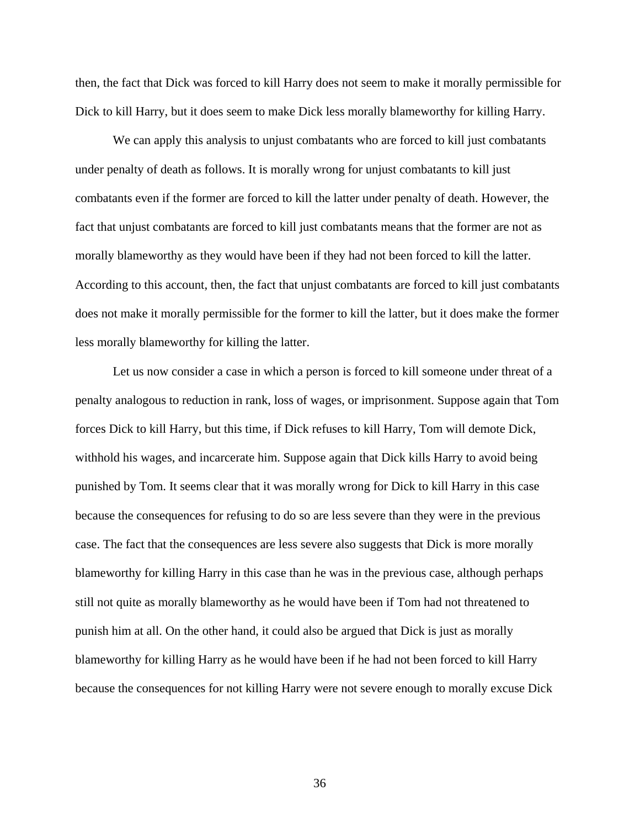then, the fact that Dick was forced to kill Harry does not seem to make it morally permissible for Dick to kill Harry, but it does seem to make Dick less morally blameworthy for killing Harry.

We can apply this analysis to unjust combatants who are forced to kill just combatants under penalty of death as follows. It is morally wrong for unjust combatants to kill just combatants even if the former are forced to kill the latter under penalty of death. However, the fact that unjust combatants are forced to kill just combatants means that the former are not as morally blameworthy as they would have been if they had not been forced to kill the latter. According to this account, then, the fact that unjust combatants are forced to kill just combatants does not make it morally permissible for the former to kill the latter, but it does make the former less morally blameworthy for killing the latter.

 Let us now consider a case in which a person is forced to kill someone under threat of a penalty analogous to reduction in rank, loss of wages, or imprisonment. Suppose again that Tom forces Dick to kill Harry, but this time, if Dick refuses to kill Harry, Tom will demote Dick, withhold his wages, and incarcerate him. Suppose again that Dick kills Harry to avoid being punished by Tom. It seems clear that it was morally wrong for Dick to kill Harry in this case because the consequences for refusing to do so are less severe than they were in the previous case. The fact that the consequences are less severe also suggests that Dick is more morally blameworthy for killing Harry in this case than he was in the previous case, although perhaps still not quite as morally blameworthy as he would have been if Tom had not threatened to punish him at all. On the other hand, it could also be argued that Dick is just as morally blameworthy for killing Harry as he would have been if he had not been forced to kill Harry because the consequences for not killing Harry were not severe enough to morally excuse Dick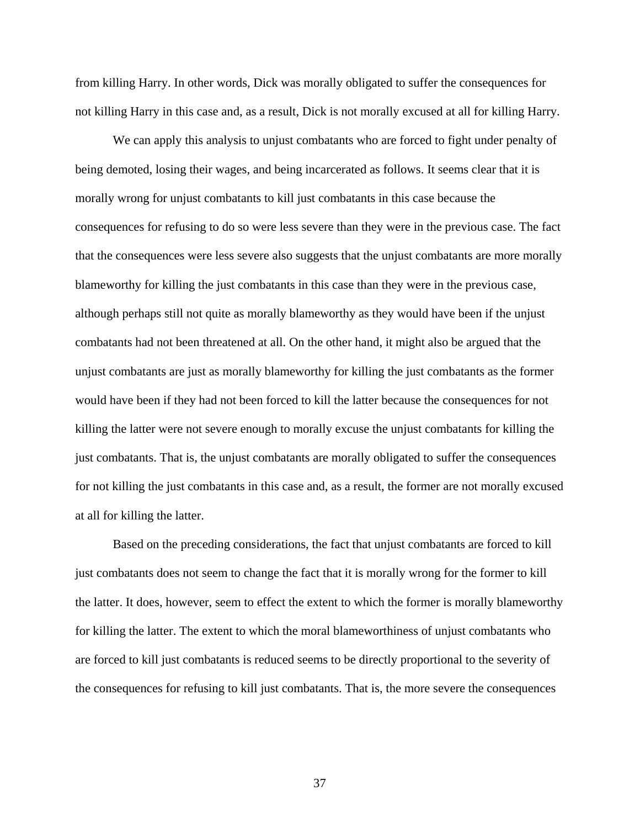from killing Harry. In other words, Dick was morally obligated to suffer the consequences for not killing Harry in this case and, as a result, Dick is not morally excused at all for killing Harry.

 We can apply this analysis to unjust combatants who are forced to fight under penalty of being demoted, losing their wages, and being incarcerated as follows. It seems clear that it is morally wrong for unjust combatants to kill just combatants in this case because the consequences for refusing to do so were less severe than they were in the previous case. The fact that the consequences were less severe also suggests that the unjust combatants are more morally blameworthy for killing the just combatants in this case than they were in the previous case, although perhaps still not quite as morally blameworthy as they would have been if the unjust combatants had not been threatened at all. On the other hand, it might also be argued that the unjust combatants are just as morally blameworthy for killing the just combatants as the former would have been if they had not been forced to kill the latter because the consequences for not killing the latter were not severe enough to morally excuse the unjust combatants for killing the just combatants. That is, the unjust combatants are morally obligated to suffer the consequences for not killing the just combatants in this case and, as a result, the former are not morally excused at all for killing the latter.

 Based on the preceding considerations, the fact that unjust combatants are forced to kill just combatants does not seem to change the fact that it is morally wrong for the former to kill the latter. It does, however, seem to effect the extent to which the former is morally blameworthy for killing the latter. The extent to which the moral blameworthiness of unjust combatants who are forced to kill just combatants is reduced seems to be directly proportional to the severity of the consequences for refusing to kill just combatants. That is, the more severe the consequences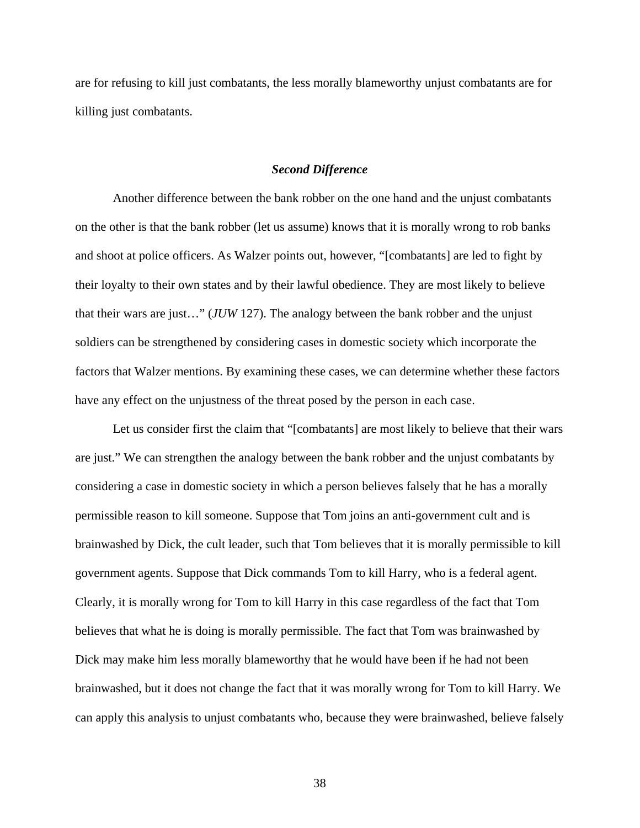are for refusing to kill just combatants, the less morally blameworthy unjust combatants are for killing just combatants.

### *Second Difference*

 Another difference between the bank robber on the one hand and the unjust combatants on the other is that the bank robber (let us assume) knows that it is morally wrong to rob banks and shoot at police officers. As Walzer points out, however, "[combatants] are led to fight by their loyalty to their own states and by their lawful obedience. They are most likely to believe that their wars are just…" (*JUW* 127). The analogy between the bank robber and the unjust soldiers can be strengthened by considering cases in domestic society which incorporate the factors that Walzer mentions. By examining these cases, we can determine whether these factors have any effect on the unjustness of the threat posed by the person in each case.

 Let us consider first the claim that "[combatants] are most likely to believe that their wars are just." We can strengthen the analogy between the bank robber and the unjust combatants by considering a case in domestic society in which a person believes falsely that he has a morally permissible reason to kill someone. Suppose that Tom joins an anti-government cult and is brainwashed by Dick, the cult leader, such that Tom believes that it is morally permissible to kill government agents. Suppose that Dick commands Tom to kill Harry, who is a federal agent. Clearly, it is morally wrong for Tom to kill Harry in this case regardless of the fact that Tom believes that what he is doing is morally permissible. The fact that Tom was brainwashed by Dick may make him less morally blameworthy that he would have been if he had not been brainwashed, but it does not change the fact that it was morally wrong for Tom to kill Harry. We can apply this analysis to unjust combatants who, because they were brainwashed, believe falsely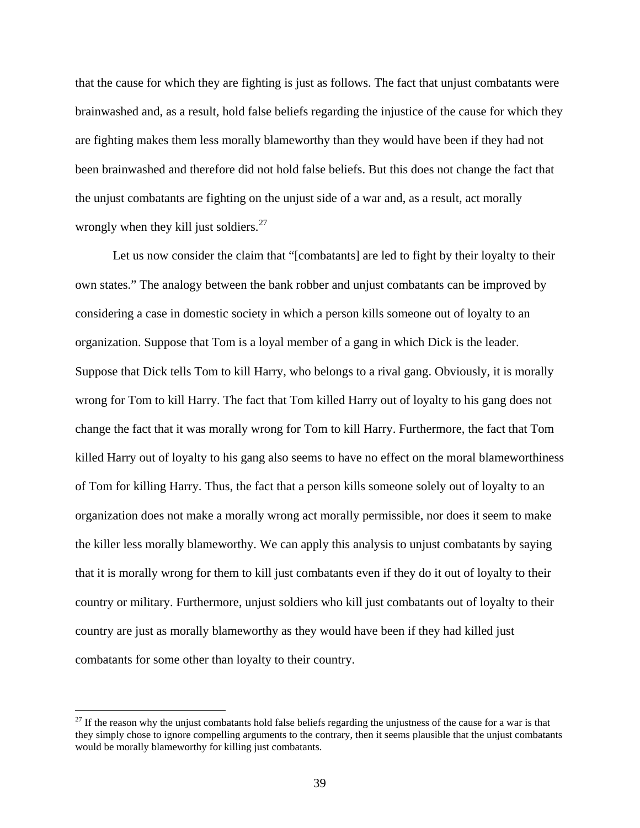that the cause for which they are fighting is just as follows. The fact that unjust combatants were brainwashed and, as a result, hold false beliefs regarding the injustice of the cause for which they are fighting makes them less morally blameworthy than they would have been if they had not been brainwashed and therefore did not hold false beliefs. But this does not change the fact that the unjust combatants are fighting on the unjust side of a war and, as a result, act morally wrongly when they kill just soldiers. $27$ 

 Let us now consider the claim that "[combatants] are led to fight by their loyalty to their own states." The analogy between the bank robber and unjust combatants can be improved by considering a case in domestic society in which a person kills someone out of loyalty to an organization. Suppose that Tom is a loyal member of a gang in which Dick is the leader. Suppose that Dick tells Tom to kill Harry, who belongs to a rival gang. Obviously, it is morally wrong for Tom to kill Harry. The fact that Tom killed Harry out of loyalty to his gang does not change the fact that it was morally wrong for Tom to kill Harry. Furthermore, the fact that Tom killed Harry out of loyalty to his gang also seems to have no effect on the moral blameworthiness of Tom for killing Harry. Thus, the fact that a person kills someone solely out of loyalty to an organization does not make a morally wrong act morally permissible, nor does it seem to make the killer less morally blameworthy. We can apply this analysis to unjust combatants by saying that it is morally wrong for them to kill just combatants even if they do it out of loyalty to their country or military. Furthermore, unjust soldiers who kill just combatants out of loyalty to their country are just as morally blameworthy as they would have been if they had killed just combatants for some other than loyalty to their country.

<span id="page-41-0"></span> $27$  If the reason why the unjust combatants hold false beliefs regarding the unjustness of the cause for a war is that they simply chose to ignore compelling arguments to the contrary, then it seems plausible that the unjust combatants would be morally blameworthy for killing just combatants.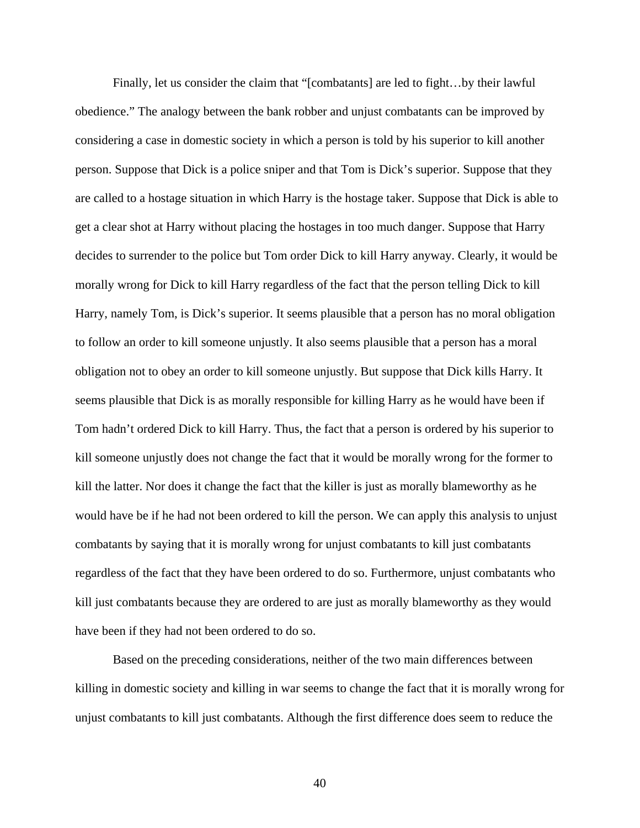Finally, let us consider the claim that "[combatants] are led to fight…by their lawful obedience." The analogy between the bank robber and unjust combatants can be improved by considering a case in domestic society in which a person is told by his superior to kill another person. Suppose that Dick is a police sniper and that Tom is Dick's superior. Suppose that they are called to a hostage situation in which Harry is the hostage taker. Suppose that Dick is able to get a clear shot at Harry without placing the hostages in too much danger. Suppose that Harry decides to surrender to the police but Tom order Dick to kill Harry anyway. Clearly, it would be morally wrong for Dick to kill Harry regardless of the fact that the person telling Dick to kill Harry, namely Tom, is Dick's superior. It seems plausible that a person has no moral obligation to follow an order to kill someone unjustly. It also seems plausible that a person has a moral obligation not to obey an order to kill someone unjustly. But suppose that Dick kills Harry. It seems plausible that Dick is as morally responsible for killing Harry as he would have been if Tom hadn't ordered Dick to kill Harry. Thus, the fact that a person is ordered by his superior to kill someone unjustly does not change the fact that it would be morally wrong for the former to kill the latter. Nor does it change the fact that the killer is just as morally blameworthy as he would have be if he had not been ordered to kill the person. We can apply this analysis to unjust combatants by saying that it is morally wrong for unjust combatants to kill just combatants regardless of the fact that they have been ordered to do so. Furthermore, unjust combatants who kill just combatants because they are ordered to are just as morally blameworthy as they would have been if they had not been ordered to do so.

 Based on the preceding considerations, neither of the two main differences between killing in domestic society and killing in war seems to change the fact that it is morally wrong for unjust combatants to kill just combatants. Although the first difference does seem to reduce the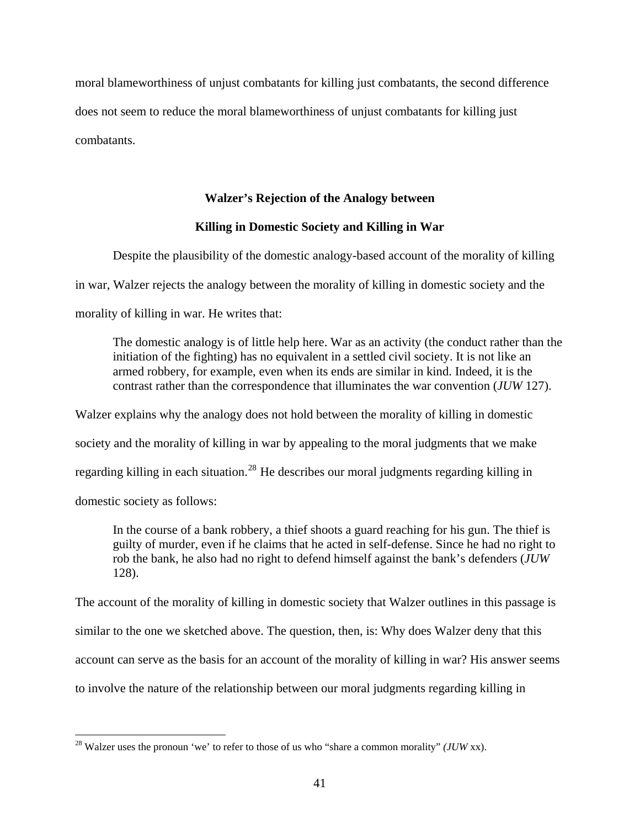moral blameworthiness of unjust combatants for killing just combatants, the second difference does not seem to reduce the moral blameworthiness of unjust combatants for killing just combatants.

### **Walzer's Rejection of the Analogy between**

### **Killing in Domestic Society and Killing in War**

 Despite the plausibility of the domestic analogy-based account of the morality of killing in war, Walzer rejects the analogy between the morality of killing in domestic society and the morality of killing in war. He writes that:

 The domestic analogy is of little help here. War as an activity (the conduct rather than the initiation of the fighting) has no equivalent in a settled civil society. It is not like an armed robbery, for example, even when its ends are similar in kind. Indeed, it is the contrast rather than the correspondence that illuminates the war convention (*JUW* 127).

Walzer explains why the analogy does not hold between the morality of killing in domestic society and the morality of killing in war by appealing to the moral judgments that we make regarding killing in each situation.<sup>[28](#page-43-0)</sup> He describes our moral judgments regarding killing in domestic society as follows:

 In the course of a bank robbery, a thief shoots a guard reaching for his gun. The thief is guilty of murder, even if he claims that he acted in self-defense. Since he had no right to rob the bank, he also had no right to defend himself against the bank's defenders (*JUW* 128).

The account of the morality of killing in domestic society that Walzer outlines in this passage is similar to the one we sketched above. The question, then, is: Why does Walzer deny that this account can serve as the basis for an account of the morality of killing in war? His answer seems to involve the nature of the relationship between our moral judgments regarding killing in

<span id="page-43-0"></span><sup>28</sup> Walzer uses the pronoun 'we' to refer to those of us who "share a common morality" *(JUW* xx).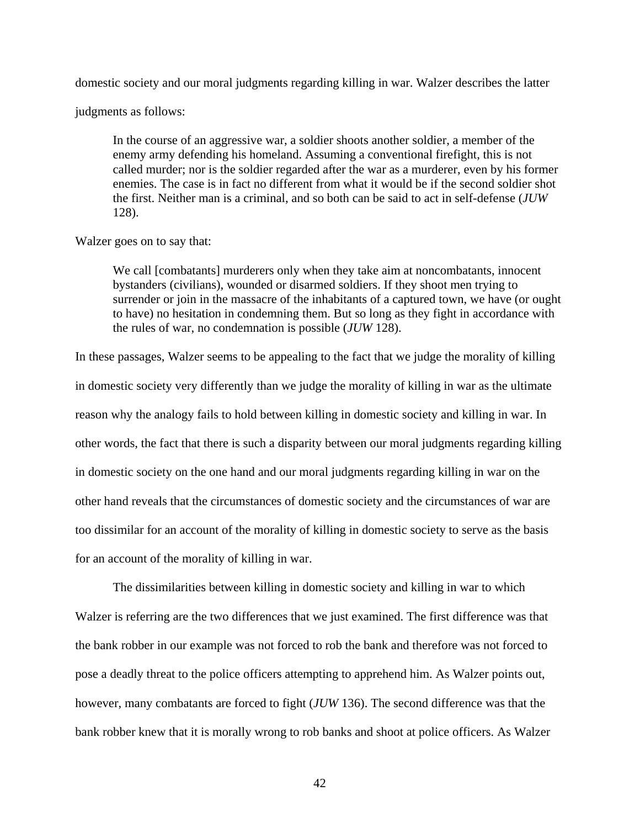domestic society and our moral judgments regarding killing in war. Walzer describes the latter

judgments as follows:

 In the course of an aggressive war, a soldier shoots another soldier, a member of the enemy army defending his homeland. Assuming a conventional firefight, this is not called murder; nor is the soldier regarded after the war as a murderer, even by his former enemies. The case is in fact no different from what it would be if the second soldier shot the first. Neither man is a criminal, and so both can be said to act in self-defense (*JUW* 128).

### Walzer goes on to say that:

 We call [combatants] murderers only when they take aim at noncombatants, innocent bystanders (civilians), wounded or disarmed soldiers. If they shoot men trying to surrender or join in the massacre of the inhabitants of a captured town, we have (or ought to have) no hesitation in condemning them. But so long as they fight in accordance with the rules of war, no condemnation is possible (*JUW* 128).

In these passages, Walzer seems to be appealing to the fact that we judge the morality of killing in domestic society very differently than we judge the morality of killing in war as the ultimate reason why the analogy fails to hold between killing in domestic society and killing in war. In other words, the fact that there is such a disparity between our moral judgments regarding killing in domestic society on the one hand and our moral judgments regarding killing in war on the other hand reveals that the circumstances of domestic society and the circumstances of war are too dissimilar for an account of the morality of killing in domestic society to serve as the basis for an account of the morality of killing in war.

 The dissimilarities between killing in domestic society and killing in war to which Walzer is referring are the two differences that we just examined. The first difference was that the bank robber in our example was not forced to rob the bank and therefore was not forced to pose a deadly threat to the police officers attempting to apprehend him. As Walzer points out, however, many combatants are forced to fight (*JUW* 136). The second difference was that the bank robber knew that it is morally wrong to rob banks and shoot at police officers. As Walzer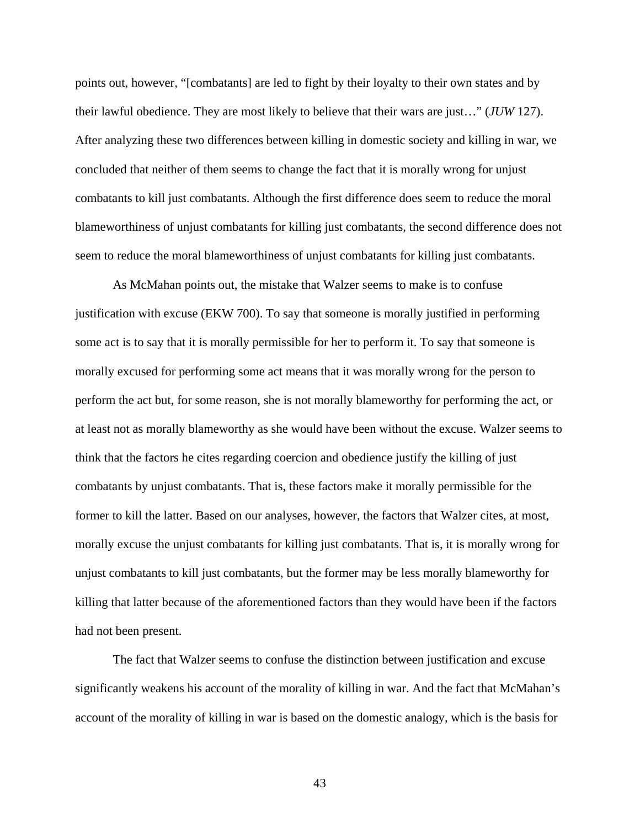points out, however, "[combatants] are led to fight by their loyalty to their own states and by their lawful obedience. They are most likely to believe that their wars are just…" (*JUW* 127). After analyzing these two differences between killing in domestic society and killing in war, we concluded that neither of them seems to change the fact that it is morally wrong for unjust combatants to kill just combatants. Although the first difference does seem to reduce the moral blameworthiness of unjust combatants for killing just combatants, the second difference does not seem to reduce the moral blameworthiness of unjust combatants for killing just combatants.

 As McMahan points out, the mistake that Walzer seems to make is to confuse justification with excuse (EKW 700). To say that someone is morally justified in performing some act is to say that it is morally permissible for her to perform it. To say that someone is morally excused for performing some act means that it was morally wrong for the person to perform the act but, for some reason, she is not morally blameworthy for performing the act, or at least not as morally blameworthy as she would have been without the excuse. Walzer seems to think that the factors he cites regarding coercion and obedience justify the killing of just combatants by unjust combatants. That is, these factors make it morally permissible for the former to kill the latter. Based on our analyses, however, the factors that Walzer cites, at most, morally excuse the unjust combatants for killing just combatants. That is, it is morally wrong for unjust combatants to kill just combatants, but the former may be less morally blameworthy for killing that latter because of the aforementioned factors than they would have been if the factors had not been present.

 The fact that Walzer seems to confuse the distinction between justification and excuse significantly weakens his account of the morality of killing in war. And the fact that McMahan's account of the morality of killing in war is based on the domestic analogy, which is the basis for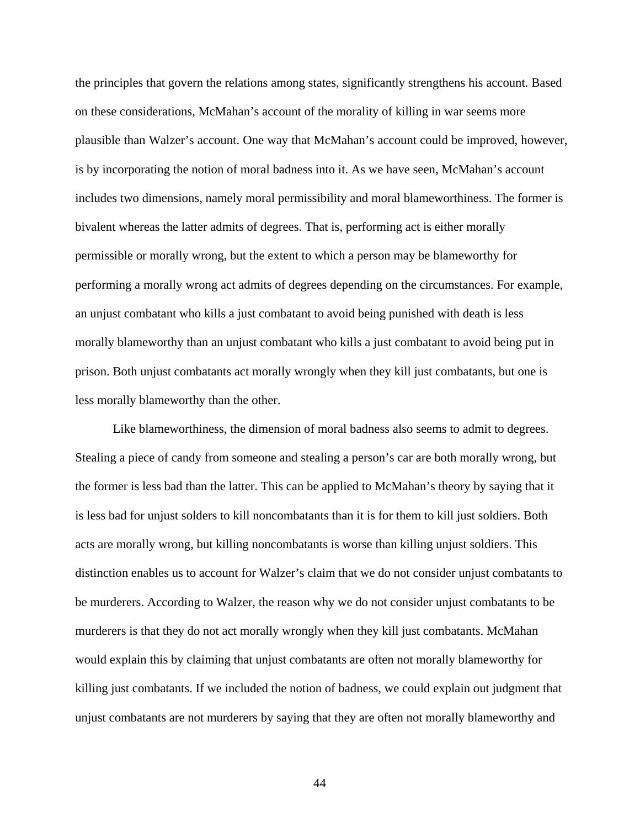the principles that govern the relations among states, significantly strengthens his account. Based on these considerations, McMahan's account of the morality of killing in war seems more plausible than Walzer's account. One way that McMahan's account could be improved, however, is by incorporating the notion of moral badness into it. As we have seen, McMahan's account includes two dimensions, namely moral permissibility and moral blameworthiness. The former is bivalent whereas the latter admits of degrees. That is, performing act is either morally permissible or morally wrong, but the extent to which a person may be blameworthy for performing a morally wrong act admits of degrees depending on the circumstances. For example, an unjust combatant who kills a just combatant to avoid being punished with death is less morally blameworthy than an unjust combatant who kills a just combatant to avoid being put in prison. Both unjust combatants act morally wrongly when they kill just combatants, but one is less morally blameworthy than the other.

 Like blameworthiness, the dimension of moral badness also seems to admit to degrees. Stealing a piece of candy from someone and stealing a person's car are both morally wrong, but the former is less bad than the latter. This can be applied to McMahan's theory by saying that it is less bad for unjust solders to kill noncombatants than it is for them to kill just soldiers. Both acts are morally wrong, but killing noncombatants is worse than killing unjust soldiers. This distinction enables us to account for Walzer's claim that we do not consider unjust combatants to be murderers. According to Walzer, the reason why we do not consider unjust combatants to be murderers is that they do not act morally wrongly when they kill just combatants. McMahan would explain this by claiming that unjust combatants are often not morally blameworthy for killing just combatants. If we included the notion of badness, we could explain out judgment that unjust combatants are not murderers by saying that they are often not morally blameworthy and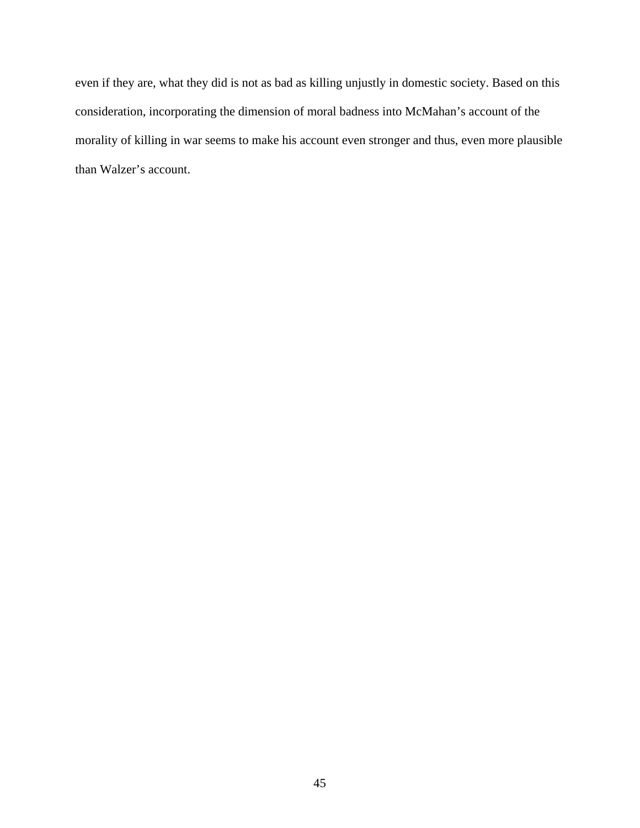even if they are, what they did is not as bad as killing unjustly in domestic society. Based on this consideration, incorporating the dimension of moral badness into McMahan's account of the morality of killing in war seems to make his account even stronger and thus, even more plausible than Walzer's account.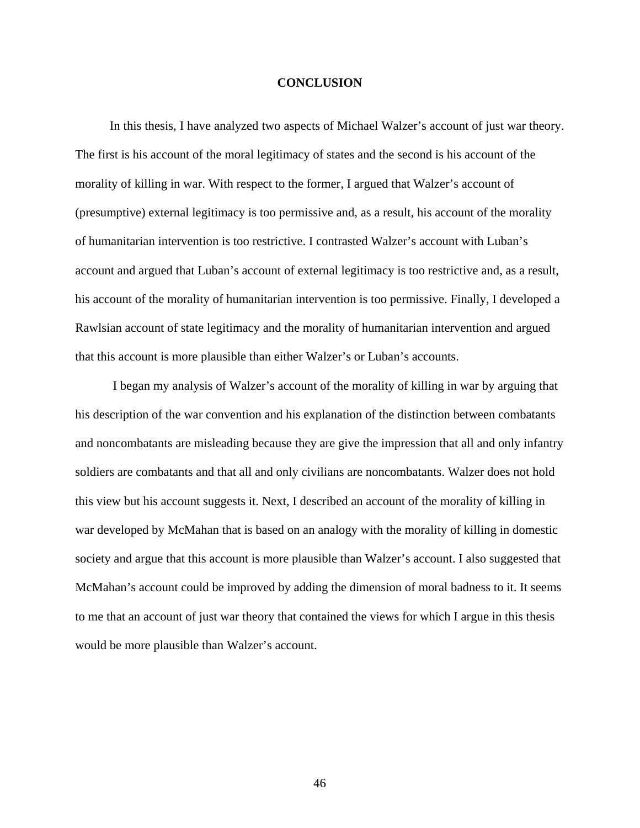### **CONCLUSION**

 In this thesis, I have analyzed two aspects of Michael Walzer's account of just war theory. The first is his account of the moral legitimacy of states and the second is his account of the morality of killing in war. With respect to the former, I argued that Walzer's account of (presumptive) external legitimacy is too permissive and, as a result, his account of the morality of humanitarian intervention is too restrictive. I contrasted Walzer's account with Luban's account and argued that Luban's account of external legitimacy is too restrictive and, as a result, his account of the morality of humanitarian intervention is too permissive. Finally, I developed a Rawlsian account of state legitimacy and the morality of humanitarian intervention and argued that this account is more plausible than either Walzer's or Luban's accounts.

 I began my analysis of Walzer's account of the morality of killing in war by arguing that his description of the war convention and his explanation of the distinction between combatants and noncombatants are misleading because they are give the impression that all and only infantry soldiers are combatants and that all and only civilians are noncombatants. Walzer does not hold this view but his account suggests it. Next, I described an account of the morality of killing in war developed by McMahan that is based on an analogy with the morality of killing in domestic society and argue that this account is more plausible than Walzer's account. I also suggested that McMahan's account could be improved by adding the dimension of moral badness to it. It seems to me that an account of just war theory that contained the views for which I argue in this thesis would be more plausible than Walzer's account.